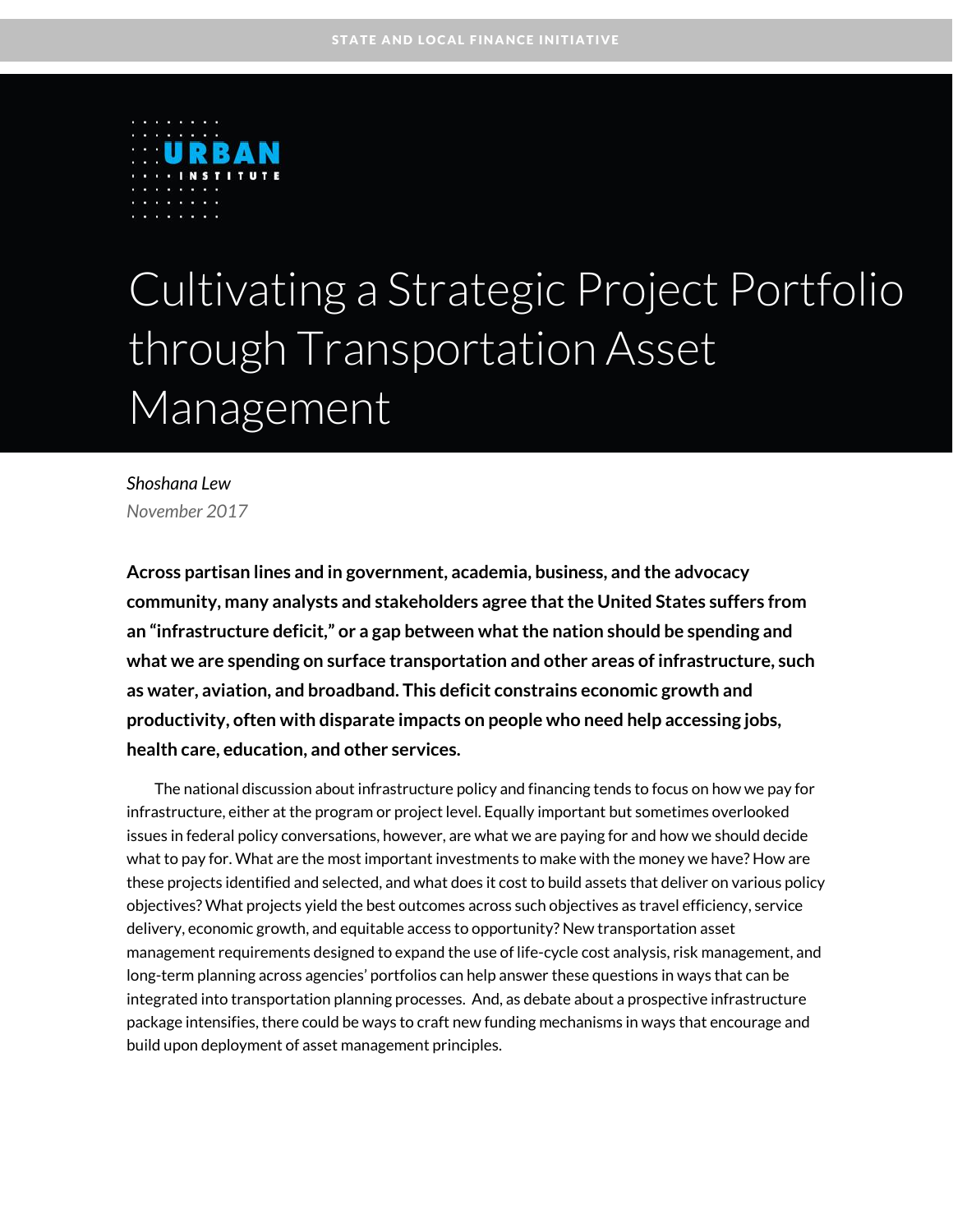

# Cultivating a Strategic Project Portfolio through Transportation Asset **Management**

*Shoshana Lew November 2017*

**Across partisan lines and in government, academia, business, and the advocacy community, many analysts and stakeholders agree that the United States suffers from an "infrastructure deficit," or a gap between what the nation should be spending and what we are spending on surface transportation and other areas of infrastructure, such as water, aviation, and broadband. This deficit constrains economic growth and productivity, often with disparate impacts on people who need help accessing jobs, health care, education, and other services.**

The national discussion about infrastructure policy and financing tends to focus on how we pay for infrastructure, either at the program or project level. Equally important but sometimes overlooked issues in federal policy conversations, however, are what we are paying for and how we should decide what to pay for. What are the most important investments to make with the money we have? How are these projects identified and selected, and what does it cost to build assets that deliver on various policy objectives? What projects yield the best outcomes across such objectives as travel efficiency, service delivery, economic growth, and equitable access to opportunity? New transportation asset management requirements designed to expand the use of life-cycle cost analysis, risk management, and long-term planning across agencies' portfolios can help answer these questions in ways that can be integrated into transportation planning processes. And, as debate about a prospective infrastructure package intensifies, there could be ways to craft new funding mechanisms in ways that encourage and build upon deployment of asset management principles.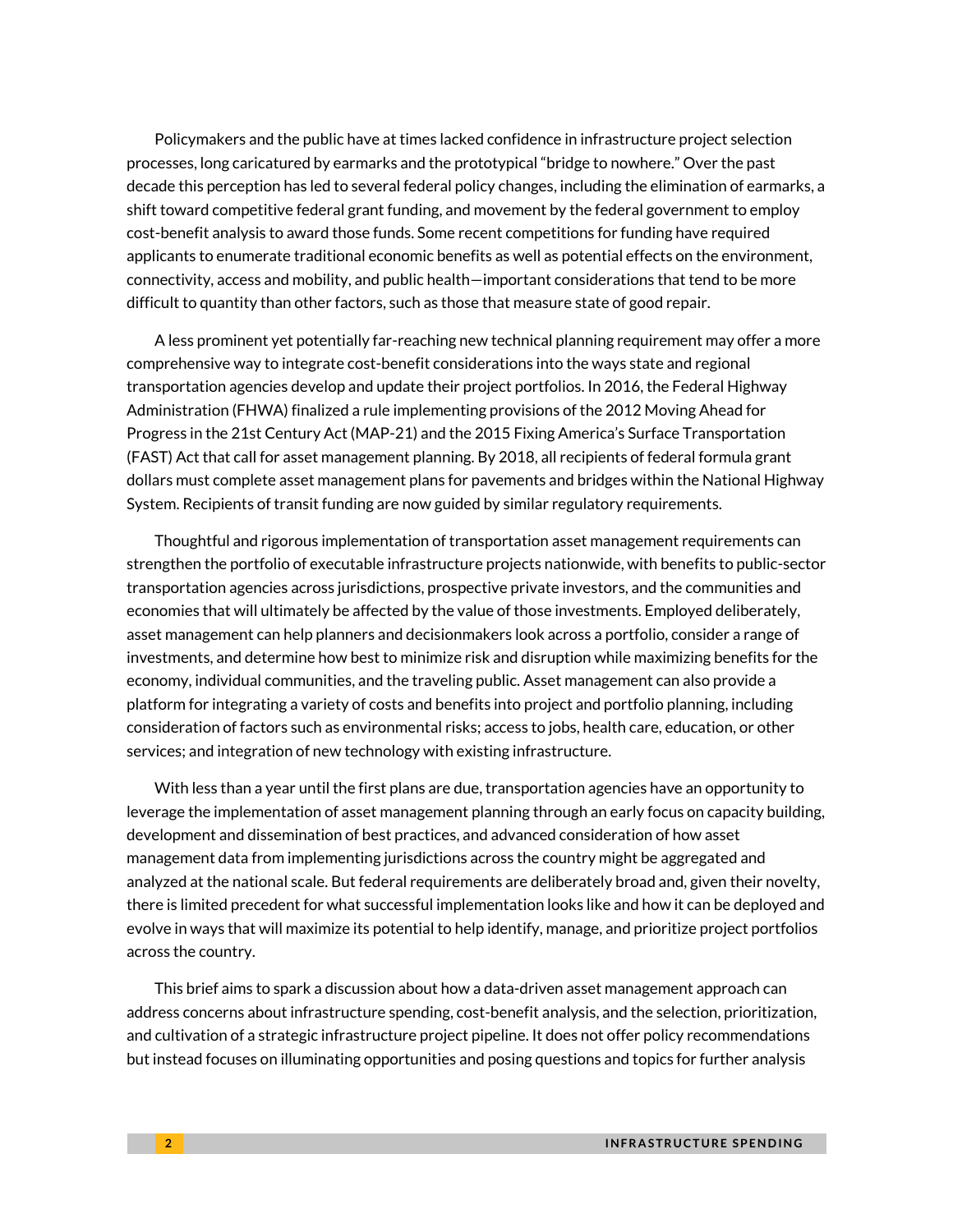Policymakers and the public have at times lacked confidence in infrastructure project selection processes, long caricatured by earmarks and the prototypical "bridge to nowhere." Over the past decade this perception has led to several federal policy changes, including the elimination of earmarks, a shift toward competitive federal grant funding, and movement by the federal government to employ cost-benefit analysis to award those funds. Some recent competitions for funding have required applicants to enumerate traditional economic benefits as well as potential effects on the environment, connectivity, access and mobility, and public health—important considerations that tend to be more difficult to quantity than other factors, such as those that measure state of good repair.

A less prominent yet potentially far-reaching new technical planning requirement may offer a more comprehensive way to integrate cost-benefit considerations into the ways state and regional transportation agencies develop and update their project portfolios. In 2016, the Federal Highway Administration (FHWA) finalized a rule implementing provisions of the 2012 Moving Ahead for Progress in the 21st Century Act (MAP-21) and the 2015 Fixing America's Surface Transportation (FAST) Act that call for asset management planning. By 2018, all recipients of federal formula grant dollars must complete asset management plans for pavements and bridges within the National Highway System. Recipients of transit funding are now guided by similar regulatory requirements.

Thoughtful and rigorous implementation of transportation asset management requirements can strengthen the portfolio of executable infrastructure projects nationwide, with benefits to public-sector transportation agencies across jurisdictions, prospective private investors, and the communities and economies that will ultimately be affected by the value of those investments. Employed deliberately, asset management can help planners and decisionmakers look across a portfolio, consider a range of investments, and determine how best to minimize risk and disruption while maximizing benefits for the economy, individual communities, and the traveling public. Asset management can also provide a platform for integrating a variety of costs and benefits into project and portfolio planning, including consideration of factors such as environmental risks; access to jobs, health care, education, or other services; and integration of new technology with existing infrastructure.

With less than a year until the first plans are due, transportation agencies have an opportunity to leverage the implementation of asset management planning through an early focus on capacity building, development and dissemination of best practices, and advanced consideration of how asset management data from implementing jurisdictions across the country might be aggregated and analyzed at the national scale. But federal requirements are deliberately broad and, given their novelty, there is limited precedent for what successful implementation looks like and how it can be deployed and evolve in ways that will maximize its potential to help identify, manage, and prioritize project portfolios across the country.

This brief aims to spark a discussion about how a data-driven asset management approach can address concerns about infrastructure spending, cost-benefit analysis, and the selection, prioritization, and cultivation of a strategic infrastructure project pipeline. It does not offer policy recommendations but instead focuses on illuminating opportunities and posing questions and topics for further analysis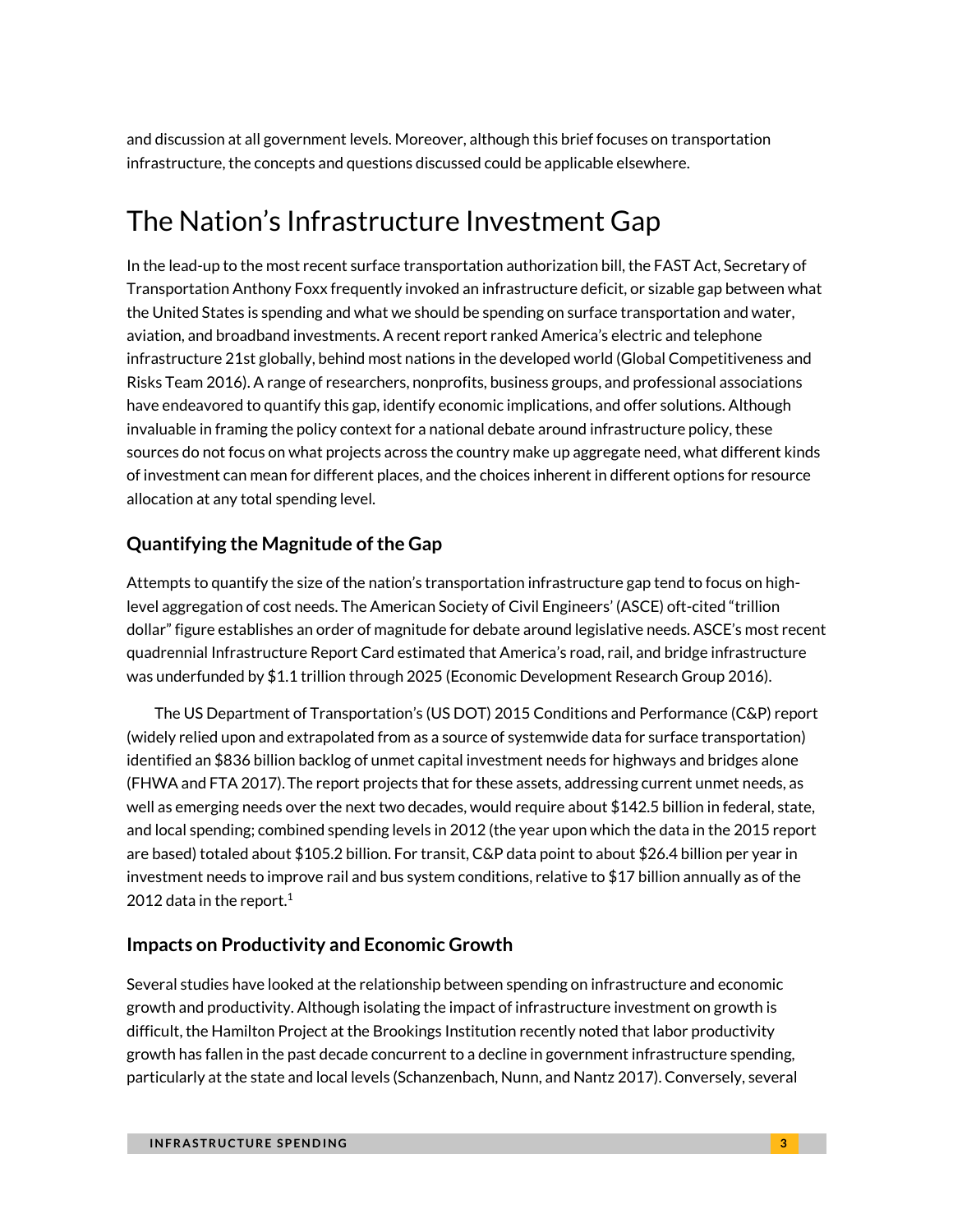and discussion at all government levels. Moreover, although this brief focuses on transportation infrastructure, the concepts and questions discussed could be applicable elsewhere.

# The Nation's Infrastructure Investment Gap

In the lead-up to the most recent surface transportation authorization bill, the FAST Act, Secretary of Transportation Anthony Foxx frequently invoked an infrastructure deficit, or sizable gap between what the United States is spending and what we should be spending on surface transportation and water, aviation, and broadband investments. A recent report ranked America's electric and telephone infrastructure 21st globally, behind most nations in the developed world (Global Competitiveness and Risks Team 2016). A range of researchers, nonprofits, business groups, and professional associations have endeavored to quantify this gap, identify economic implications, and offer solutions. Although invaluable in framing the policy context for a national debate around infrastructure policy, these sources do not focus on what projects across the country make up aggregate need, what different kinds of investment can mean for different places, and the choices inherent in different options for resource allocation at any total spending level.

### **Quantifying the Magnitude of the Gap**

Attempts to quantify the size of the nation's transportation infrastructure gap tend to focus on highlevel aggregation of cost needs. The American Society of Civil Engineers' (ASCE) oft-cited "trillion dollar" figure establishes an order of magnitude for debate around legislative needs. ASCE's most recent quadrennial Infrastructure Report Card estimated that America's road, rail, and bridge infrastructure was underfunded by \$1.1 trillion through 2025 (Economic Development Research Group 2016).

The US Department of Transportation's (US DOT) 2015 Conditions and Performance (C&P) report (widely relied upon and extrapolated from as a source of systemwide data for surface transportation) identified an \$836 billion backlog of unmet capital investment needs for highways and bridges alone (FHWA and FTA 2017).The report projects that for these assets, addressing current unmet needs, as well as emerging needs over the next two decades, would require about \$142.5 billion in federal, state, and local spending; combined spending levels in 2012 (the year upon which the data in the 2015 report are based) totaled about \$105.2 billion. For transit, C&P data point to about \$26.4 billion per year in investment needs to improve rail and bus system conditions, relative to \$17 billion annually as of the 2012 data in the repor[t.](#page-17-0)<sup>1</sup>

### **Impacts on Productivity and Economic Growth**

Several studies have looked at the relationship between spending on infrastructure and economic growth and productivity. Although isolating the impact of infrastructure investment on growth is difficult, the Hamilton Project at the Brookings Institution recently noted that labor productivity growth has fallen in the past decade concurrent to a decline in government infrastructure spending, particularly at the state and local levels (Schanzenbach, Nunn, and Nantz 2017). Conversely, several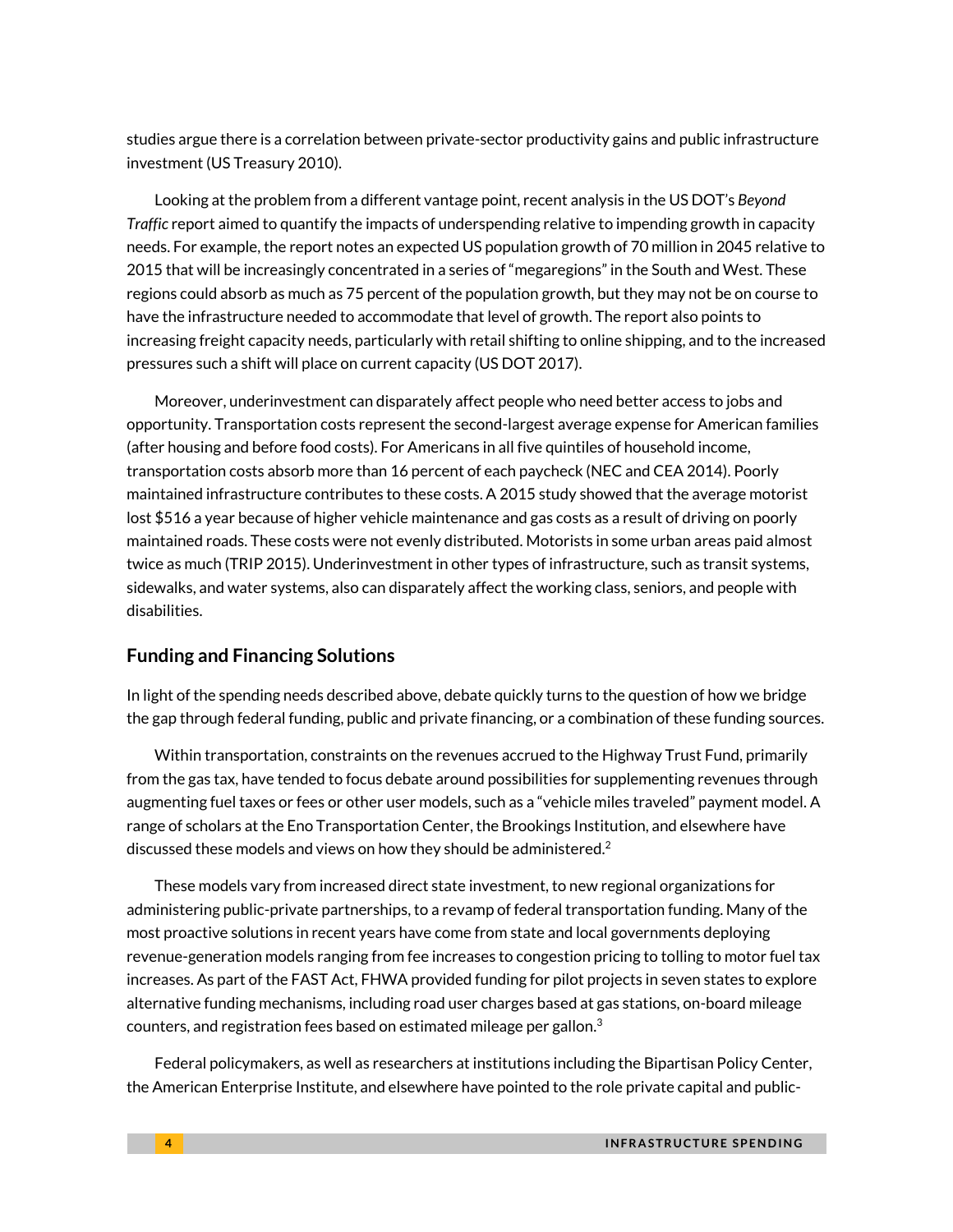studies argue there is a correlation between private-sector productivity gains and public infrastructure investment (US Treasury 2010).

Looking at the problem from a different vantage point, recent analysis in the US DOT's *Beyond Traffic* report aimed to quantify the impacts of underspending relative to impending growth in capacity needs. For example, the report notes an expected US population growth of 70 million in 2045 relative to 2015 that will be increasingly concentrated in a series of "megaregions" in the South and West. These regions could absorb as much as 75 percent of the population growth, but they may not be on course to have the infrastructure needed to accommodate that level of growth. The report also points to increasing freight capacity needs, particularly with retail shifting to online shipping, and to the increased pressures such a shift will place on current capacity (US DOT 2017).

Moreover, underinvestment can disparately affect people who need better access to jobs and opportunity. Transportation costs represent the second-largest average expense for American families (after housing and before food costs). For Americans in all five quintiles of household income, transportation costs absorb more than 16 percent of each paycheck (NEC and CEA 2014). Poorly maintained infrastructure contributes to these costs. A 2015 study showed that the average motorist lost \$516 a year because of higher vehicle maintenance and gas costs as a result of driving on poorly maintained roads. These costs were not evenly distributed. Motorists in some urban areas paid almost twice as much (TRIP 2015). Underinvestment in other types of infrastructure, such as transit systems, sidewalks, and water systems, also can disparately affect the working class, seniors, and people with disabilities.

### **Funding and Financing Solutions**

In light of the spending needs described above, debate quickly turns to the question of how we bridge the gap through federal funding, public and private financing, or a combination of these funding sources.

Within transportation, constraints on the revenues accrued to the Highway Trust Fund, primarily from the gas tax, have tended to focus debate around possibilities for supplementing revenues through augmenting fuel taxes or fees or other user models, such as a "vehicle miles traveled" payment model. A range of scholars at the Eno Transportation Center, the Brookings Institution, and elsewhere have discussed these models and views on how they should be administered.<sup>[2](#page-17-1)</sup>

These models vary from increased direct state investment, to new regional organizations for administering public-private partnerships, to a revamp of federal transportation funding. Many of the most proactive solutions in recent years have come from state and local governments deploying revenue-generation models ranging from fee increases to congestion pricing to tolling to motor fuel tax increases. As part of the FAST Act, FHWA provided funding for pilot projects in seven states to explore alternative funding mechanisms, including road user charges based at gas stations, on-board mileage counters, and registration fees based on estimated mileage per gallo[n.](#page-17-2)<sup>3</sup>

Federal policymakers, as well as researchers at institutions including the Bipartisan Policy Center, the American Enterprise Institute, and elsewhere have pointed to the role private capital and public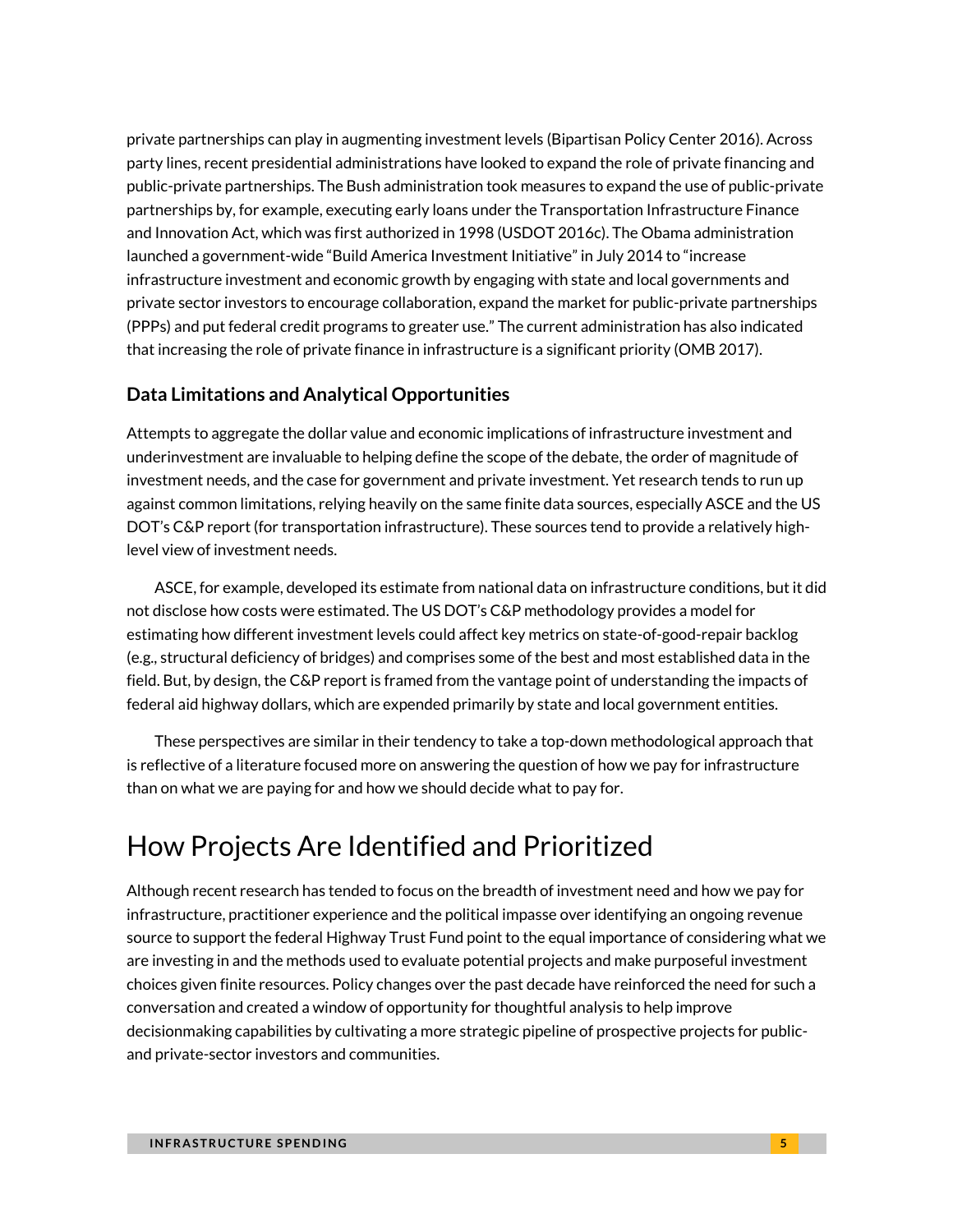private partnerships can play in augmenting investment levels (Bipartisan Policy Center 2016). Across party lines, recent presidential administrations have looked to expand the role of private financing and public-private partnerships. The Bush administration took measures to expand the use of public-private partnerships by, for example, executing early loans under the Transportation Infrastructure Finance and Innovation Act, which was first authorized in 1998 (USDOT 2016c). The Obama administration launched a government-wide "Build America Investment Initiative" in July 2014 to "increase infrastructure investment and economic growth by engaging with state and local governments and private sector investors to encourage collaboration, expand the market for public-private partnerships (PPPs) and put federal credit programs to greater use." The current administration has also indicated that increasing the role of private finance in infrastructure is a significant priority (OMB 2017).

### **Data Limitations and Analytical Opportunities**

Attempts to aggregate the dollar value and economic implications of infrastructure investment and underinvestment are invaluable to helping define the scope of the debate, the order of magnitude of investment needs, and the case for government and private investment. Yet research tends to run up against common limitations, relying heavily on the same finite data sources, especially ASCE and the US DOT's C&P report (for transportation infrastructure). These sources tend to provide a relatively highlevel view of investment needs.

ASCE, for example, developed its estimate from national data on infrastructure conditions, but it did not disclose how costs were estimated. The US DOT's C&P methodology provides a model for estimating how different investment levels could affect key metrics on state-of-good-repair backlog (e.g., structural deficiency of bridges) and comprises some of the best and most established data in the field. But, by design, the C&P report is framed from the vantage point of understanding the impacts of federal aid highway dollars, which are expended primarily by state and local government entities.

These perspectives are similar in their tendency to take a top-down methodological approach that is reflective of a literature focused more on answering the question of how we pay for infrastructure than on what we are paying for and how we should decide what to pay for.

## How Projects Are Identified and Prioritized

Although recent research has tended to focus on the breadth of investment need and how we pay for infrastructure, practitioner experience and the political impasse over identifying an ongoing revenue source to support the federal Highway Trust Fund point to the equal importance of considering what we are investing in and the methods used to evaluate potential projects and make purposeful investment choices given finite resources. Policy changes over the past decade have reinforced the need for such a conversation and created a window of opportunity for thoughtful analysis to help improve decisionmaking capabilities by cultivating a more strategic pipeline of prospective projects for publicand private-sector investors and communities.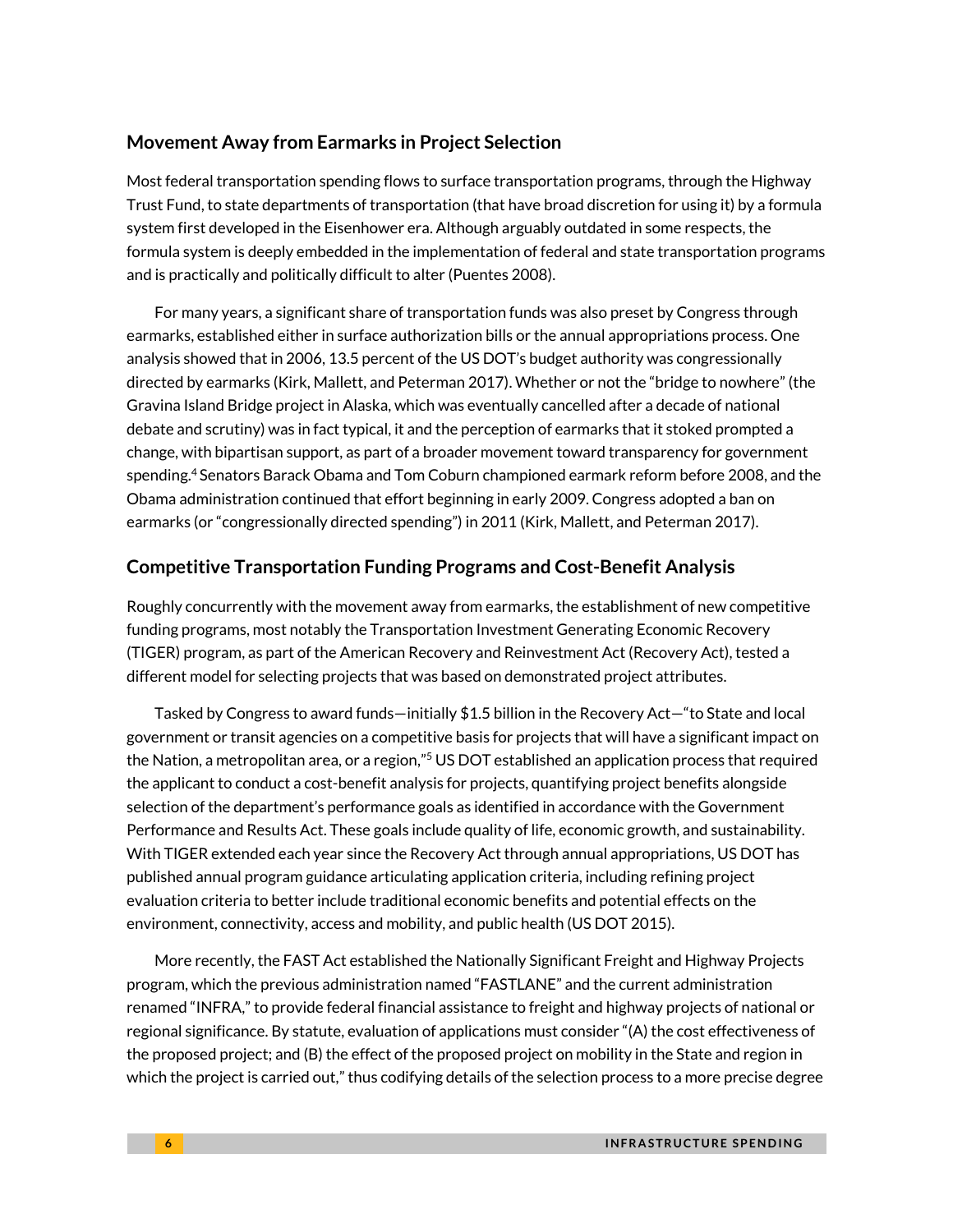### **Movement Away from Earmarks in Project Selection**

Most federal transportation spending flows to surface transportation programs, through the Highway Trust Fund, to state departments of transportation (that have broad discretion for using it) by a formula system first developed in the Eisenhower era. Although arguably outdated in some respects, the formula system is deeply embedded in the implementation of federal and state transportation programs and is practically and politically difficult to alter (Puentes 2008).

For many years, a significant share of transportation funds was also preset by Congress through earmarks, established either in surface authorization bills or the annual appropriations process. One analysis showed that in 2006, 13.5 percent of the US DOT's budget authority was congressionally directed by earmarks (Kirk, Mallett, and Peterman 2017). Whether or not the "bridge to nowhere" (the Gravina Island Bridge project in Alaska, which was eventually cancelled after a decade of national debate and scrutiny) was in fact typical, it and the perception of earmarks that it stoked prompted a change, with bipartisan support, as part of a broader movement toward transparency for government spending.[4](#page-17-3) Senators Barack Obama and Tom Coburn championed earmark reform before 2008, and the Obama administration continued that effort beginning in early 2009. Congress adopted a ban on earmarks (or "congressionally directed spending") in 2011 (Kirk, Mallett, and Peterman 2017).

### **Competitive Transportation Funding Programs and Cost-Benefit Analysis**

Roughly concurrently with the movement away from earmarks, the establishment of new competitive funding programs, most notably the Transportation Investment Generating Economic Recovery (TIGER) program, as part of the American Recovery and Reinvestment Act (Recovery Act), tested a different model for selecting projects that was based on demonstrated project attributes.

Tasked by Congress to award funds—initially \$1.5 billion in the Recovery Act—"to State and local government or transit agencies on a competitive basis for projects that will have a significant impact on the Nation, a metropolitan area, or a region,"<sup>[5](#page-17-4)</sup> US DOT established an application process that required the applicant to conduct a cost-benefit analysis for projects, quantifying project benefits alongside selection of the department's performance goals as identified in accordance with the Government Performance and Results Act. These goals include quality of life, economic growth, and sustainability. With TIGER extended each year since the Recovery Act through annual appropriations, US DOT has published annual program guidance articulating application criteria, including refining project evaluation criteria to better include traditional economic benefits and potential effects on the environment, connectivity, access and mobility, and public health (US DOT 2015).

More recently, the FAST Act established the Nationally Significant Freight and Highway Projects program, which the previous administration named "FASTLANE" and the current administration renamed "INFRA," to provide federal financial assistance to freight and highway projects of national or regional significance. By statute, evaluation of applications must consider "(A) the cost effectiveness of the proposed project; and (B) the effect of the proposed project on mobility in the State and region in which the project is carried out," thus codifying details of the selection process to a more precise degree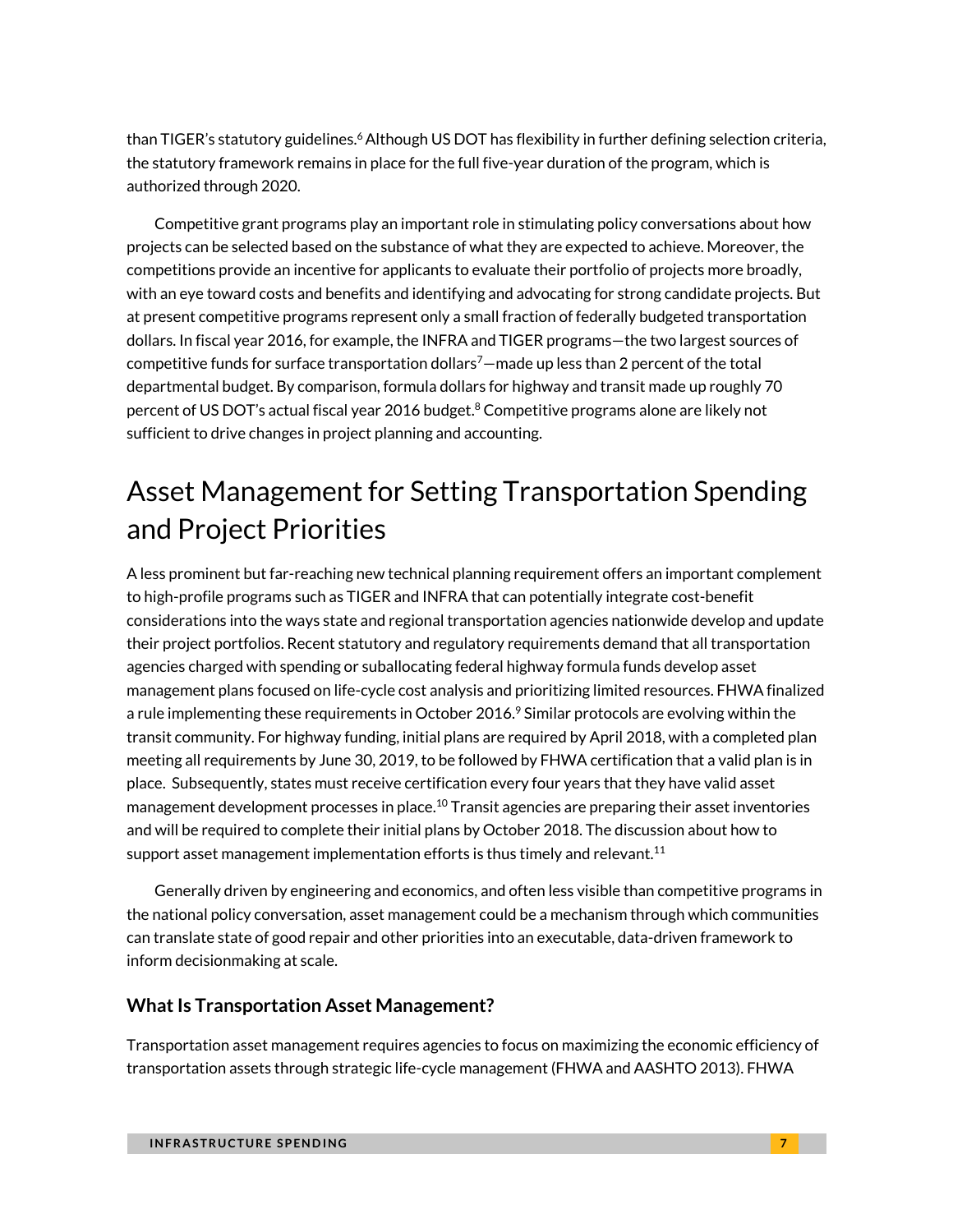than TIGER's statutory guideline[s.](#page-17-5)<sup>6</sup> Although US DOT has flexibility in further defining selection criteria, the statutory framework remains in place for the full five-year duration of the program, which is authorized through 2020.

Competitive grant programs play an important role in stimulating policy conversations about how projects can be selected based on the substance of what they are expected to achieve. Moreover, the competitions provide an incentive for applicants to evaluate their portfolio of projects more broadly, with an eye toward costs and benefits and identifying and advocating for strong candidate projects. But at present competitive programs represent only a small fraction of federally budgeted transportation dollars. In fiscal year 2016, for example, the INFRA and TIGER programs—the two largest sources of competitive fund[s](#page-17-6) for surface transportation dollars<sup>7</sup> —made up less than 2 percent of the total departmental budget. By comparison, formula dollars for highway and transit made up roughly 70 percent of US DOT's actual fiscal year 2016 budget.<sup>[8](#page-17-7)</sup> Competitive programs alone are likely not sufficient to drive changes in project planning and accounting.

# Asset Management for Setting Transportation Spending and Project Priorities

A less prominent but far-reaching new technical planning requirement offers an important complement to high-profile programs such as TIGER and INFRA that can potentially integrate cost-benefit considerations into the ways state and regional transportation agencies nationwide develop and update their project portfolios. Recent statutory and regulatory requirements demand that all transportation agencies charged with spending or suballocating federal highway formula funds develop asset management plans focused on life-cycle cost analysis and prioritizing limited resources. FHWA finalized a rule implementing these requirements in October 2016.<sup>[9](#page-17-8)</sup> Similar protocols are evolving within the transit community. For highway funding, initial plans are required by April 2018, with a completed plan meeting all requirements by June 30, 2019, to be followed by FHWA certification that a valid plan is in place. Subsequently, states must receive certification every four years that they have valid asset management development processes in place.<sup>[10](#page-17-9)</sup> Transit agencies are preparing their asset inventories and will be required to complete their initial plans by October 2018. The discussion about how to support asset management implementation efforts is thus timely and relevant.<sup>[11](#page-17-10)</sup>

Generally driven by engineering and economics, and often less visible than competitive programs in the national policy conversation, asset management could be a mechanism through which communities can translate state of good repair and other priorities into an executable, data-driven framework to inform decisionmaking at scale.

### **What Is Transportation Asset Management?**

Transportation asset management requires agencies to focus on maximizing the economic efficiency of transportation assets through strategic life-cycle management (FHWA and AASHTO 2013). FHWA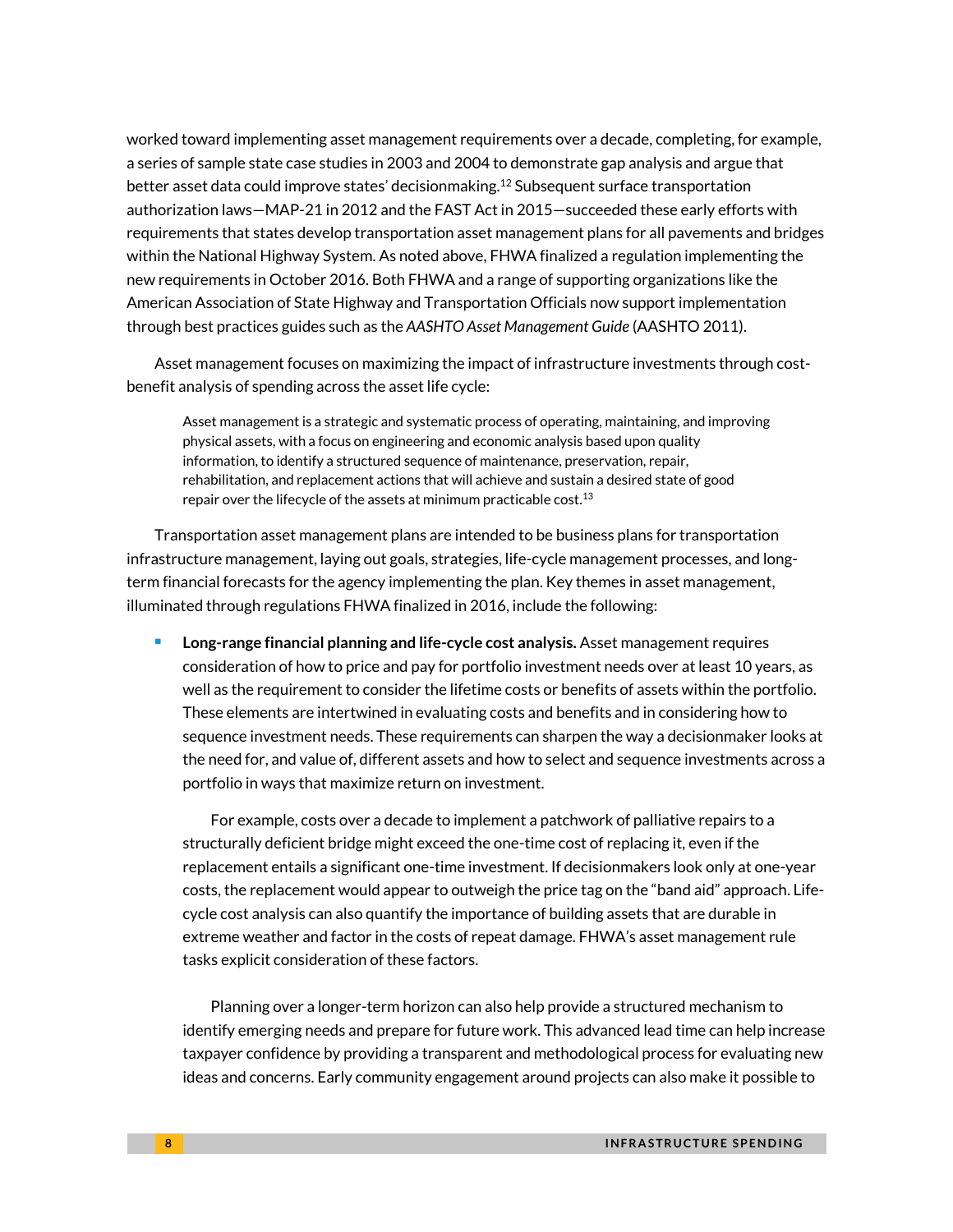worked toward implementing asset management requirements over a decade, completing, for example, a series of sample state case studies in 2003 and 2004 to demonstrate gap analysis and argue that better asset data could improve states' decisionmaking.<sup>[12](#page-17-11)</sup> Subsequent surface transportation authorization laws—MAP-21 in 2012 and the FAST Act in 2015—succeeded these early efforts with requirements that states develop transportation asset management plans for all pavements and bridges within the National Highway System. As noted above, FHWA finalized a regulation implementing the new requirements in October 2016. Both FHWA and a range of supporting organizations like the American Association of State Highway and Transportation Officials now support implementation through best practices guides such as the *AASHTO Asset Management Guide* (AASHTO 2011).

Asset management focuses on maximizing the impact of infrastructure investments through costbenefit analysis of spending across the asset life cycle:

Asset management is a strategic and systematic process of operating, maintaining, and improving physical assets, with a focus on engineering and economic analysis based upon quality information, to identify a structured sequence of maintenance, preservation, repair, rehabilitation, and replacement actions that will achieve and sustain a desired state of good repair over the lifecycle of the assets at minimum practicable cost.  $13$ 

Transportation asset management plans are intended to be business plans for transportation infrastructure management, laying out goals, strategies, life-cycle management processes, and longterm financial forecasts for the agency implementing the plan. Key themes in asset management, illuminated through regulations FHWA finalized in 2016, include the following:

 **Long-range financial planning and life-cycle cost analysis.** Asset management requires consideration of how to price and pay for portfolio investment needs over at least 10 years, as well as the requirement to consider the lifetime costs or benefits of assets within the portfolio. These elements are intertwined in evaluating costs and benefits and in considering how to sequence investment needs. These requirements can sharpen the way a decisionmaker looks at the need for, and value of, different assets and how to select and sequence investments across a portfolio in ways that maximize return on investment.

For example, costs over a decade to implement a patchwork of palliative repairs to a structurally deficient bridge might exceed the one-time cost of replacing it, even if the replacement entails a significant one-time investment. If decisionmakers look only at one-year costs, the replacement would appear to outweigh the price tag on the "band aid" approach. Lifecycle cost analysis can also quantify the importance of building assets that are durable in extreme weather and factor in the costs of repeat damage. FHWA's asset management rule tasks explicit consideration of these factors.

Planning over a longer-term horizon can also help provide a structured mechanism to identify emerging needs and prepare for future work. This advanced lead time can help increase taxpayer confidence by providing a transparent and methodological process for evaluating new ideas and concerns. Early community engagement around projects can also make it possible to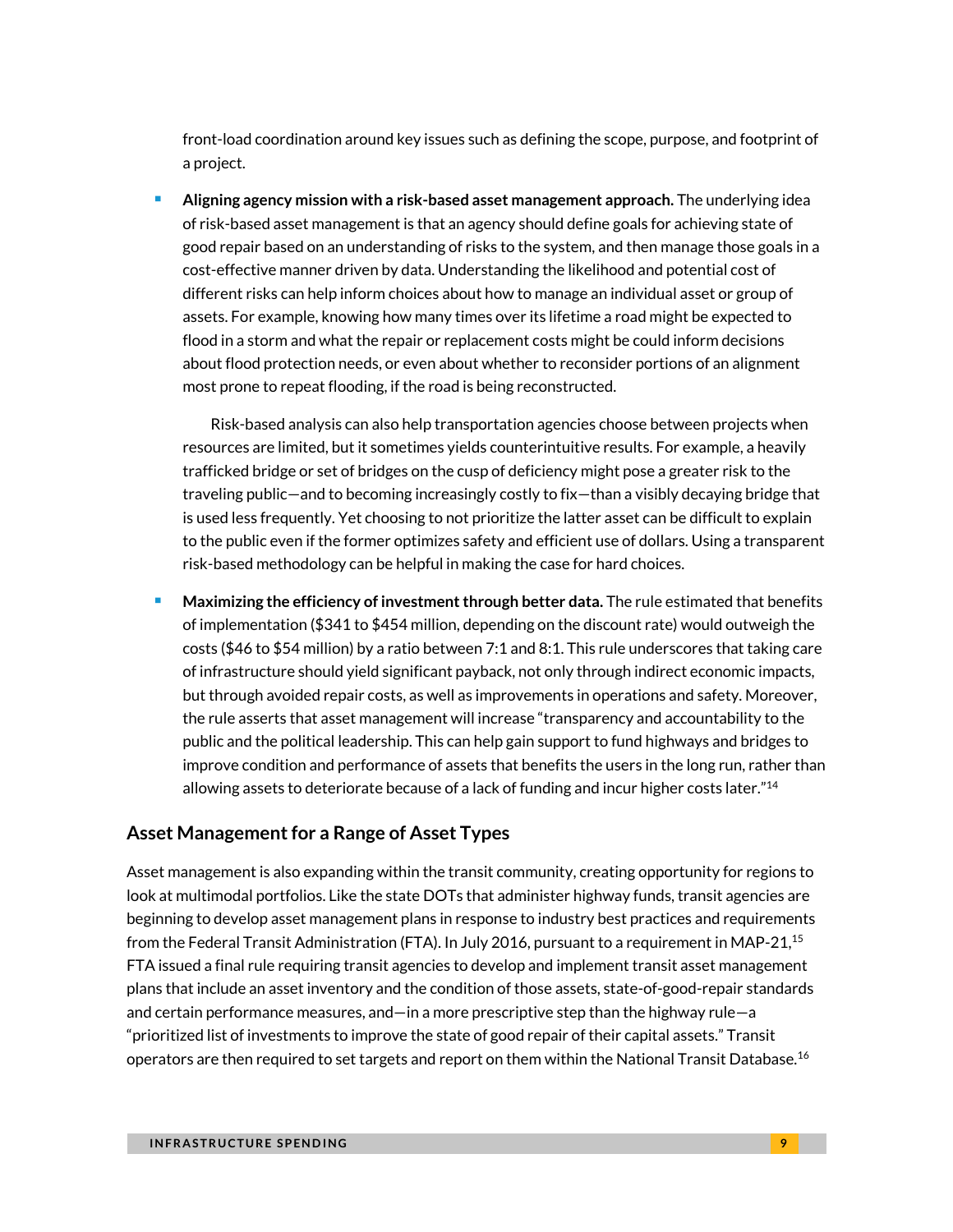front-load coordination around key issues such as defining the scope, purpose, and footprint of a project.

 **Aligning agency mission with a risk-based asset management approach.** The underlying idea of risk-based asset management is that an agency should define goals for achieving state of good repair based on an understanding of risks to the system, and then manage those goals in a cost-effective manner driven by data. Understanding the likelihood and potential cost of different risks can help inform choices about how to manage an individual asset or group of assets. For example, knowing how many times over its lifetime a road might be expected to flood in a storm and what the repair or replacement costs might be could inform decisions about flood protection needs, or even about whether to reconsider portions of an alignment most prone to repeat flooding, if the road is being reconstructed.

Risk-based analysis can also help transportation agencies choose between projects when resources are limited, but it sometimes yields counterintuitive results. For example, a heavily trafficked bridge or set of bridges on the cusp of deficiency might pose a greater risk to the traveling public—and to becoming increasingly costly to fix—than a visibly decaying bridge that is used less frequently. Yet choosing to not prioritize the latter asset can be difficult to explain to the public even if the former optimizes safety and efficient use of dollars. Using a transparent risk-based methodology can be helpful in making the case for hard choices.

 **Maximizing the efficiency of investment through better data.** The rule estimated that benefits of implementation (\$341 to \$454 million, depending on the discount rate) would outweigh the costs (\$46 to \$54 million) by a ratio between 7:1 and 8:1. This rule underscores that taking care of infrastructure should yield significant payback, not only through indirect economic impacts, but through avoided repair costs, as well as improvements in operations and safety. Moreover, the rule asserts that asset management will increase "transparency and accountability to the public and the political leadership. This can help gain support to fund highways and bridges to improve condition and performance of assets that benefits the users in the long run, rather than allowing assets to deteriorate because of a lack of funding and incur higher costs later."<sup>[14](#page-17-13)</sup>

### **Asset Management for a Range of Asset Types**

Asset management is also expanding within the transit community, creating opportunity for regions to look at multimodal portfolios. Like the state DOTs that administer highway funds, transit agencies are beginning to develop asset management plans in response to industry best practices and requirements from the Federal Transit Administration (FTA). In July 2016, pursuant to a requirement in MAP-21,<sup>[15](#page-17-14)</sup> FTA issued a final rule requiring transit agencies to develop and implement transit asset management plans that include an asset inventory and the condition of those assets, state-of-good-repair standards and certain performance measures, and—in a more prescriptive step than the highway rule—a "prioritized list of investments to improve the state of good repair of their capital assets." Transit operators are then required to set targets and report on them within the National Transit Database.<sup>[16](#page-17-15)</sup>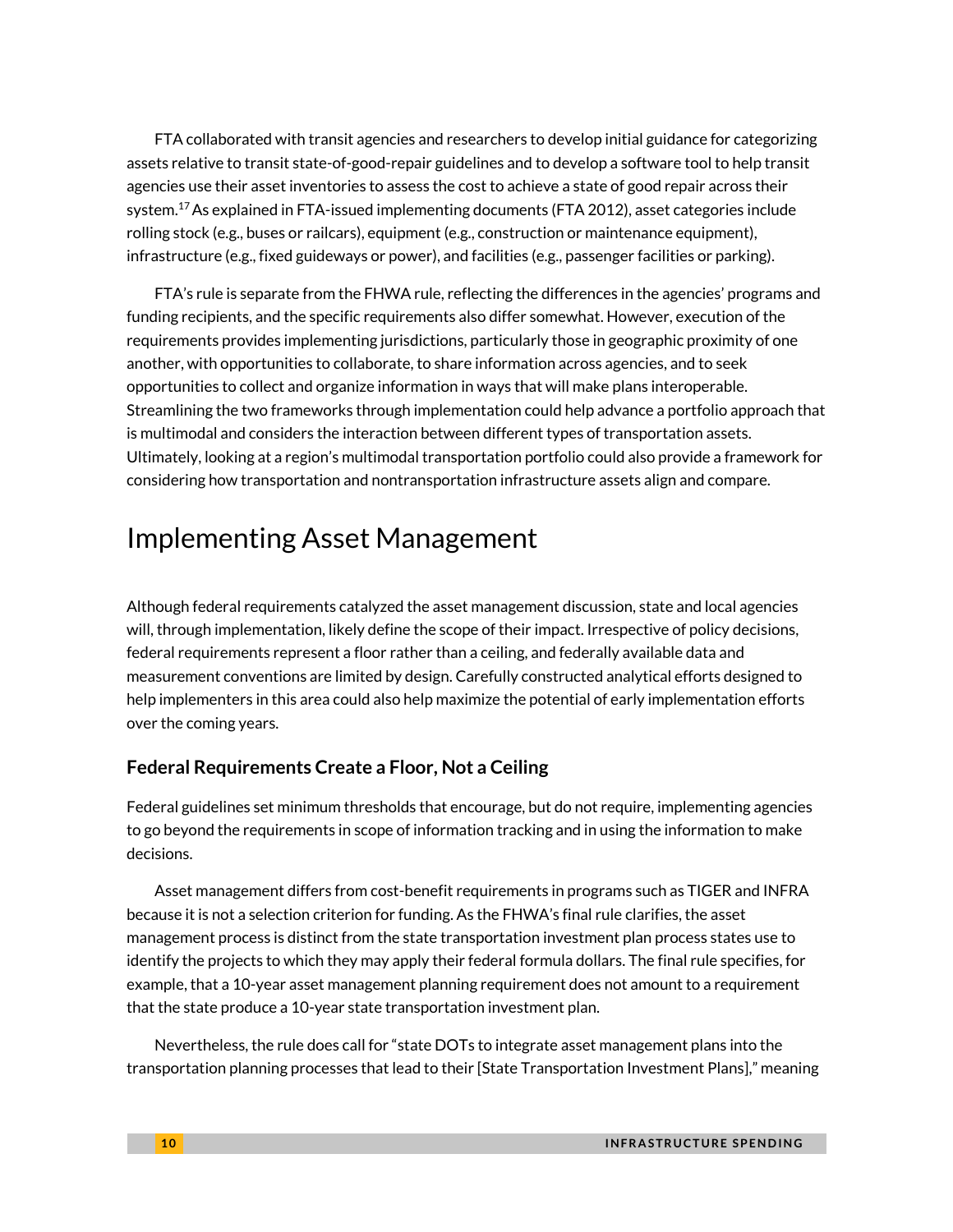FTA collaborated with transit agencies and researchers to develop initial guidance for categorizing assets relative to transit state-of-good-repair guidelines and to develop a software tool to help transit agencies use their asset inventories to assess the cost to achieve a state of good repair across their system.<sup>[17](#page-17-16)</sup> As explained in FTA-issued implementing documents (FTA 2012), asset categories include rolling stock (e.g., buses or railcars), equipment (e.g., construction or maintenance equipment), infrastructure (e.g., fixed guideways or power), and facilities (e.g., passenger facilities or parking).

FTA's rule is separate from the FHWA rule, reflecting the differences in the agencies' programs and funding recipients, and the specific requirements also differ somewhat. However, execution of the requirements provides implementing jurisdictions, particularly those in geographic proximity of one another, with opportunities to collaborate, to share information across agencies, and to seek opportunities to collect and organize information in ways that will make plans interoperable. Streamlining the two frameworks through implementation could help advance a portfolio approach that is multimodal and considers the interaction between different types of transportation assets. Ultimately, looking at a region's multimodal transportation portfolio could also provide a framework for considering how transportation and nontransportation infrastructure assets align and compare.

## Implementing Asset Management

Although federal requirements catalyzed the asset management discussion, state and local agencies will, through implementation, likely define the scope of their impact. Irrespective of policy decisions, federal requirements represent a floor rather than a ceiling, and federally available data and measurement conventions are limited by design. Carefully constructed analytical efforts designed to help implementers in this area could also help maximize the potential of early implementation efforts over the coming years.

### **Federal Requirements Create a Floor, Not a Ceiling**

Federal guidelines set minimum thresholds that encourage, but do not require, implementing agencies to go beyond the requirements in scope of information tracking and in using the information to make decisions.

Asset management differs from cost-benefit requirements in programs such as TIGER and INFRA because it is not a selection criterion for funding. As the FHWA's final rule clarifies, the asset management process is distinct from the state transportation investment plan process states use to identify the projects to which they may apply their federal formula dollars. The final rule specifies, for example, that a 10-year asset management planning requirement does not amount to a requirement that the state produce a 10-year state transportation investment plan.

Nevertheless, the rule does call for "state DOTs to integrate asset management plans into the transportation planning processes that lead to their [State Transportation Investment Plans]," meaning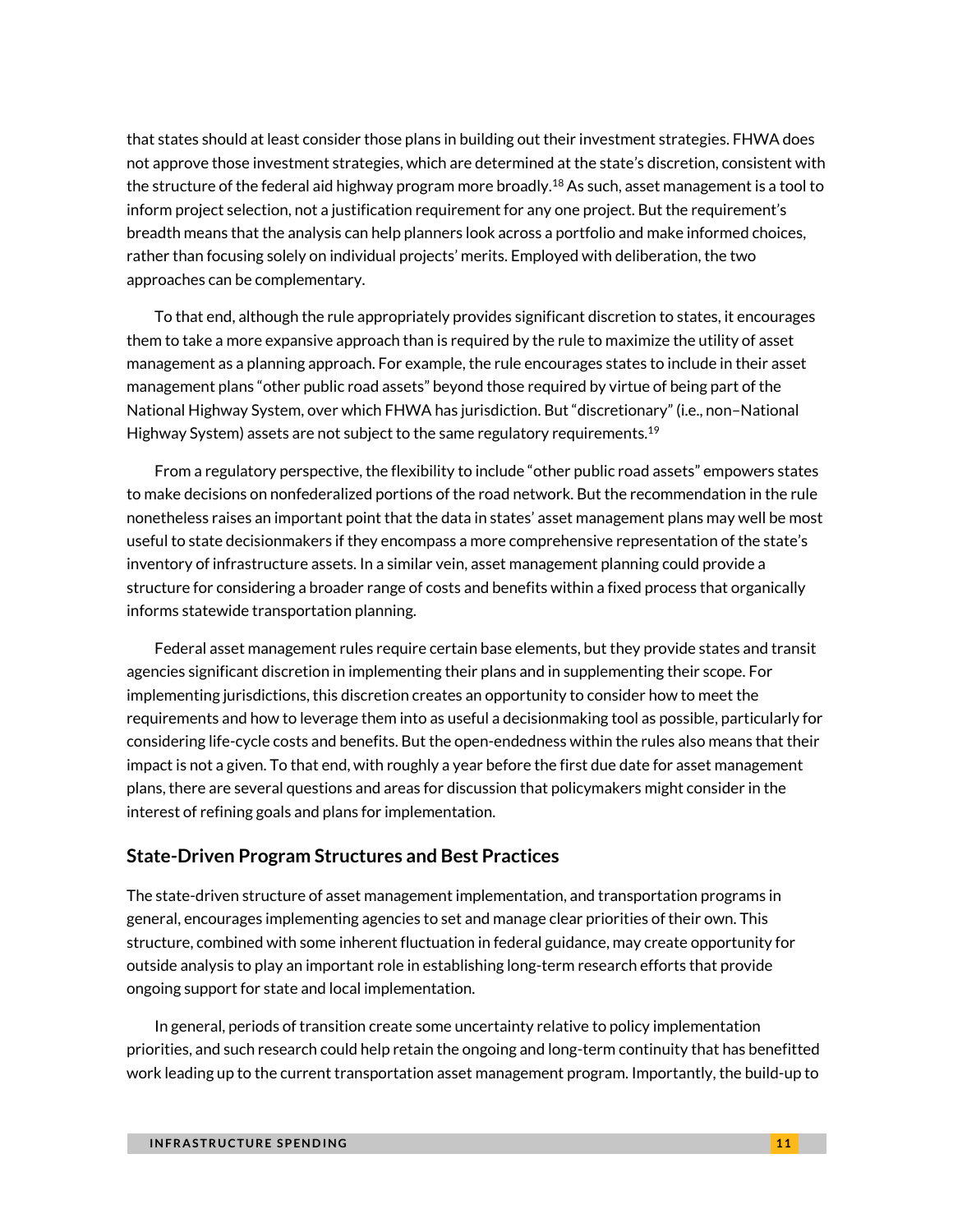that states should at least consider those plans in building out their investment strategies. FHWA does not approve those investment strategies, which are determined at the state's discretion, consistent with the structure of the federal aid highway program more broadly.<sup>[18](#page-17-17)</sup> As such, asset management is a tool to inform project selection, not a justification requirement for any one project. But the requirement's breadth means that the analysis can help planners look across a portfolio and make informed choices, rather than focusing solely on individual projects' merits. Employed with deliberation, the two approaches can be complementary.

To that end, although the rule appropriately provides significant discretion to states, it encourages them to take a more expansive approach than is required by the rule to maximize the utility of asset management as a planning approach. For example, the rule encourages states to include in their asset management plans "other public road assets" beyond those required by virtue of being part of the National Highway System, over which FHWA has jurisdiction. But "discretionary" (i.e., non–National Highway System) assets are not subject to the same regulatory requirements.<sup>[19](#page-17-18)</sup>

From a regulatory perspective, the flexibility to include "other public road assets" empowers states to make decisions on nonfederalized portions of the road network. But the recommendation in the rule nonetheless raises an important point that the data in states' asset management plans may well be most useful to state decisionmakers if they encompass a more comprehensive representation of the state's inventory of infrastructure assets. In a similar vein, asset management planning could provide a structure for considering a broader range of costs and benefits within a fixed process that organically informs statewide transportation planning.

Federal asset management rules require certain base elements, but they provide states and transit agencies significant discretion in implementing their plans and in supplementing their scope. For implementing jurisdictions, this discretion creates an opportunity to consider how to meet the requirements and how to leverage them into as useful a decisionmaking tool as possible, particularly for considering life-cycle costs and benefits. But the open-endedness within the rules also means that their impact is not a given. To that end, with roughly a year before the first due date for asset management plans, there are several questions and areas for discussion that policymakers might consider in the interest of refining goals and plans for implementation.

### **State-Driven Program Structures and Best Practices**

The state-driven structure of asset management implementation, and transportation programs in general, encourages implementing agencies to set and manage clear priorities of their own. This structure, combined with some inherent fluctuation in federal guidance, may create opportunity for outside analysis to play an important role in establishing long-term research efforts that provide ongoing support for state and local implementation.

In general, periods of transition create some uncertainty relative to policy implementation priorities, and such research could help retain the ongoing and long-term continuity that has benefitted work leading up to the current transportation asset management program. Importantly, the build-up to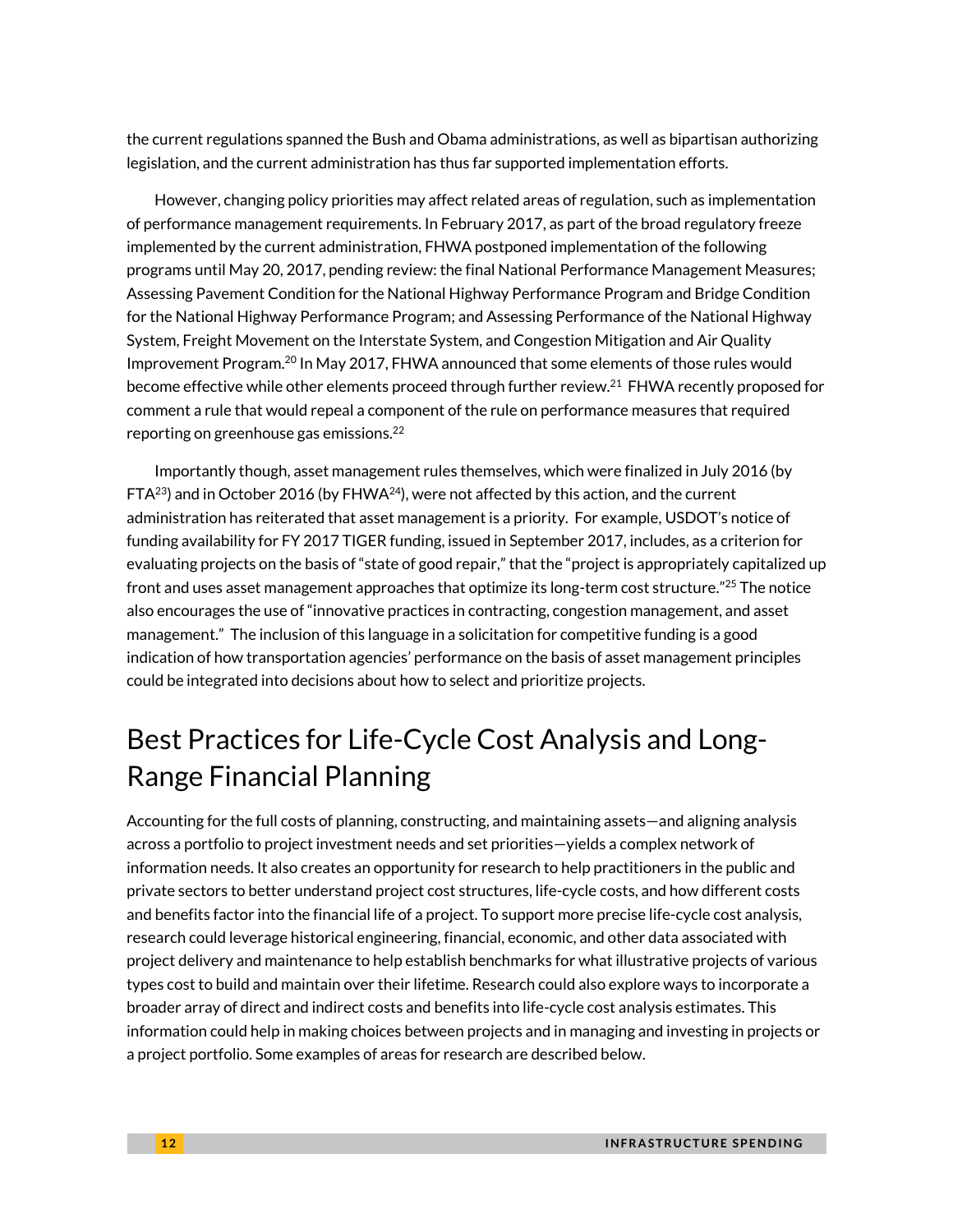the current regulations spanned the Bush and Obama administrations, as well as bipartisan authorizing legislation, and the current administration has thus far supported implementation efforts.

However, changing policy priorities may affect related areas of regulation, such as implementation of performance management requirements. In February 2017, as part of the broad regulatory freeze implemented by the current administration, FHWA postponed implementation of the following programs until May 20, 2017, pending review: the final National Performance Management Measures; Assessing Pavement Condition for the National Highway Performance Program and Bridge Condition for the National Highway Performance Program; and Assessing Performance of the National Highway System, Freight Movement on the Interstate System, and Congestion Mitigation and Air Quality Improvement Program.[20](#page-18-0) In May 2017, FHWA announced that some elements of those rules would become effective while other elements proceed through further review.<sup>[21](#page-18-1)</sup> FHWA recently proposed for comment a rule that would repeal a component of the rule on performance measures that required reporting on greenhouse gas emissions.[22](#page-18-2)

Importantly though, asset management rules themselves, which were finalized in July 2016 (by  $FTA^{23}$  $FTA^{23}$  $FTA^{23}$  and in October 2016 (by  $FHWA^{24}$  $FHWA^{24}$  $FHWA^{24}$ ), were not affected by this action, and the current administration has reiterated that asset management is a priority. For example, USDOT's notice of funding availability for FY 2017 TIGER funding, issued in September 2017, includes, as a criterion for evaluating projects on the basis of "state of good repair," that the "project is appropriately capitalized up front and uses asset management approaches that optimize its long-term cost structure." $^{25}$  $^{25}$  $^{25}$  The notice also encourages the use of "innovative practices in contracting, congestion management, and asset management." The inclusion of this language in a solicitation for competitive funding is a good indication of how transportation agencies' performance on the basis of asset management principles could be integrated into decisions about how to select and prioritize projects.

# Best Practices for Life-Cycle Cost Analysis and Long-Range Financial Planning

Accounting for the full costs of planning, constructing, and maintaining assets—and aligning analysis across a portfolio to project investment needs and set priorities—yields a complex network of information needs. It also creates an opportunity for research to help practitioners in the public and private sectors to better understand project cost structures, life-cycle costs, and how different costs and benefits factor into the financial life of a project. To support more precise life-cycle cost analysis, research could leverage historical engineering, financial, economic, and other data associated with project delivery and maintenance to help establish benchmarks for what illustrative projects of various types cost to build and maintain over their lifetime. Research could also explore ways to incorporate a broader array of direct and indirect costs and benefits into life-cycle cost analysis estimates. This information could help in making choices between projects and in managing and investing in projects or a project portfolio. Some examples of areas for research are described below.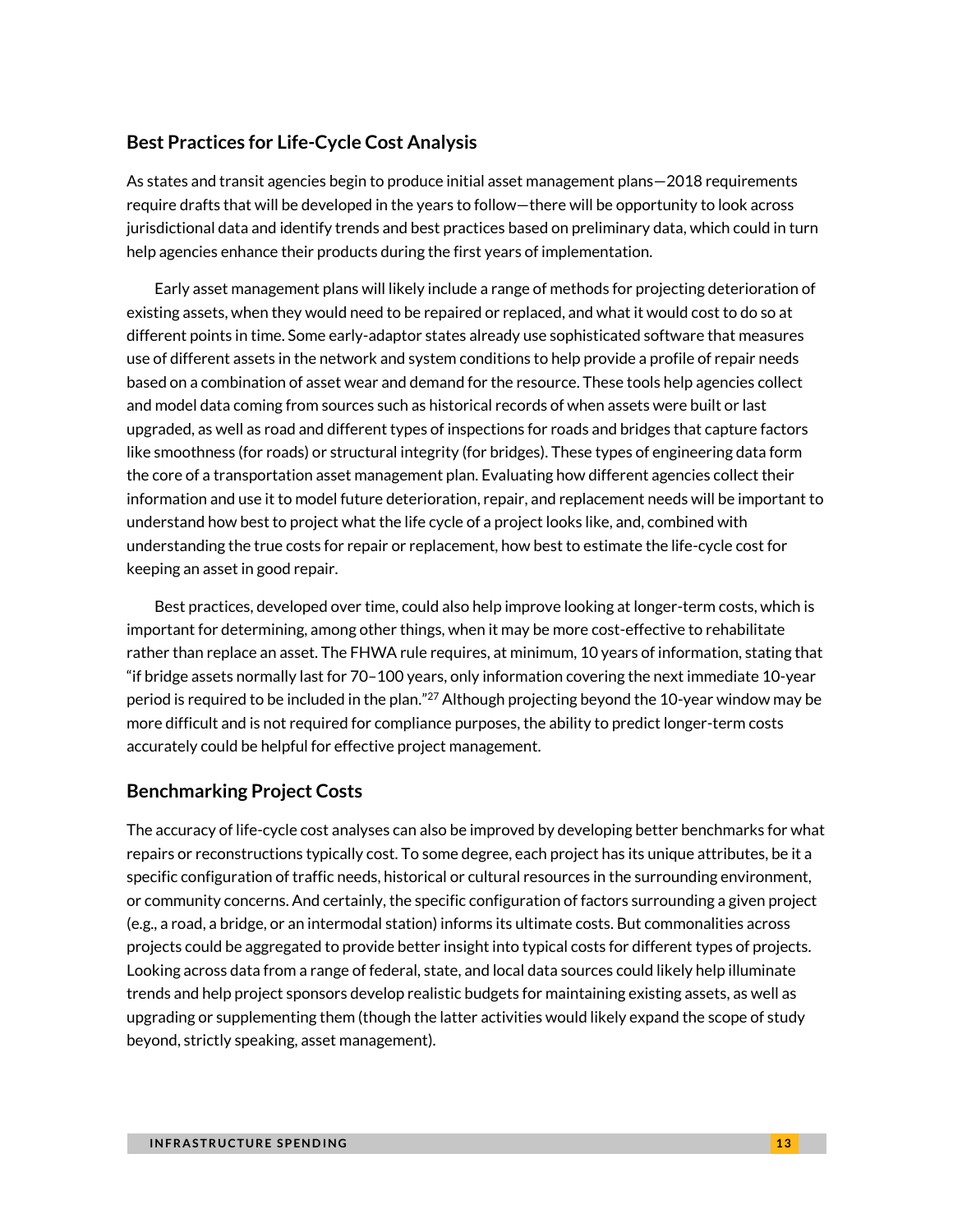### **Best Practices for Life-Cycle Cost Analysis**

As states and transit agencies begin to produce initial asset management plans—2018 requirements require drafts that will be developed in the years to follow—there will be opportunity to look across jurisdictional data and identify trends and best practices based on preliminary data, which could in turn help agencies enhance their products during the first years of implementation.

Early asset management plans will likely include a range of methods for projecting deterioration of existing assets, when they would need to be repaired or replaced, and what it would cost to do so at different points in time. Some early-adaptor states already use sophisticated software that measures use of different assets in the network and system conditions to help provide a profile of repair needs based on a combination of asset wear and demand for the resource. These tools help agencies collect and model data coming from sources such as historical records of when assets were built or last upgraded, as well as road and different types of inspections for roads and bridges that capture factors like smoothness (for roads) or structural integrity (for bridges). These types of engineering data form the core of a transportation asset management plan. Evaluating how different agencies collect their information and use it to model future deterioration, repair, and replacement needs will be important to understand how best to project what the life cycle of a project looks like, and, combined with understanding the true costs for repair or replacement, how best to estimate the life-cycle cost for keeping an asset in good repair.

Best practices, developed over time, could also help improve looking at longer-term costs, which is important for determining, among other things, when it may be more cost-effective to rehabilitate rather than replace an asset. The FHWA rule requires, at minimum, 10 years of information, stating that "if bridge assets normally last for 70–100 years, only information covering the next immediate 10-year period is required to be included in the plan."<sup>[27](#page-18-6)</sup> Although projecting beyond the 10-year window may be more difficult and is not required for compliance purposes, the ability to predict longer-term costs accurately could be helpful for effective project management.

### **Benchmarking Project Costs**

The accuracy of life-cycle cost analyses can also be improved by developing better benchmarks for what repairs or reconstructions typically cost. To some degree, each project has its unique attributes, be it a specific configuration of traffic needs, historical or cultural resources in the surrounding environment, or community concerns. And certainly, the specific configuration of factors surrounding a given project (e.g., a road, a bridge, or an intermodal station) informs its ultimate costs. But commonalities across projects could be aggregated to provide better insight into typical costs for different types of projects. Looking across data from a range of federal, state, and local data sources could likely help illuminate trends and help project sponsors develop realistic budgets for maintaining existing assets, as well as upgrading or supplementing them (though the latter activities would likely expand the scope of study beyond, strictly speaking, asset management).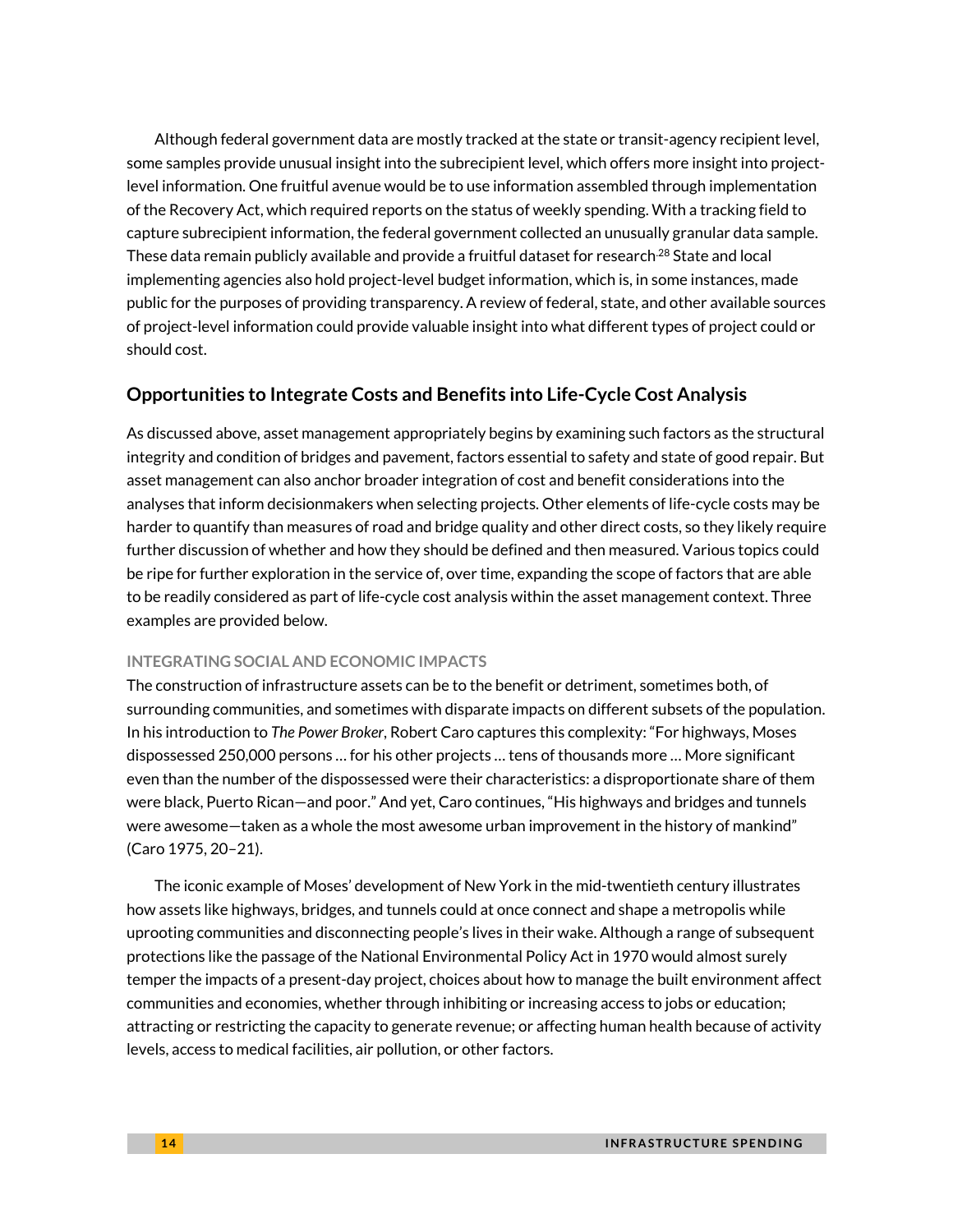Although federal government data are mostly tracked at the state or transit-agency recipient level, some samples provide unusual insight into the subrecipient level, which offers more insight into projectlevel information. One fruitful avenue would be to use information assembled through implementation of the Recovery Act, which required reports on the status of weekly spending. With a tracking field to capture subrecipient information, the federal government collected an unusually granular data sample. These data remain publicly available and provide a fruitful dataset for research<sup>28</sup> State and local implementing agencies also hold project-level budget information, which is, in some instances, made public for the purposes of providing transparency. A review of federal, state, and other available sources of project-level information could provide valuable insight into what different types of project could or should cost.

### **Opportunities to Integrate Costs and Benefits into Life-Cycle Cost Analysis**

As discussed above, asset management appropriately begins by examining such factors as the structural integrity and condition of bridges and pavement, factors essential to safety and state of good repair. But asset management can also anchor broader integration of cost and benefit considerations into the analyses that inform decisionmakers when selecting projects. Other elements of life-cycle costs may be harder to quantify than measures of road and bridge quality and other direct costs, so they likely require further discussion of whether and how they should be defined and then measured. Various topics could be ripe for further exploration in the service of, over time, expanding the scope of factors that are able to be readily considered as part of life-cycle cost analysis within the asset management context. Three examples are provided below.

### **INTEGRATING SOCIAL AND ECONOMIC IMPACTS**

The construction of infrastructure assets can be to the benefit or detriment, sometimes both, of surrounding communities, and sometimes with disparate impacts on different subsets of the population. In his introduction to *The Power Broker*, Robert Caro captures this complexity: "For highways, Moses dispossessed 250,000 persons … for his other projects … tens of thousands more … More significant even than the number of the dispossessed were their characteristics: a disproportionate share of them were black, Puerto Rican—and poor." And yet, Caro continues, "His highways and bridges and tunnels were awesome—taken as a whole the most awesome urban improvement in the history of mankind" (Caro 1975, 20–21).

The iconic example of Moses' development of New York in the mid-twentieth century illustrates how assets like highways, bridges, and tunnels could at once connect and shape a metropolis while uprooting communities and disconnecting people's lives in their wake. Although a range of subsequent protections like the passage of the National Environmental Policy Act in 1970 would almost surely temper the impacts of a present-day project, choices about how to manage the built environment affect communities and economies, whether through inhibiting or increasing access to jobs or education; attracting or restricting the capacity to generate revenue; or affecting human health because of activity levels, access to medical facilities, air pollution, or other factors.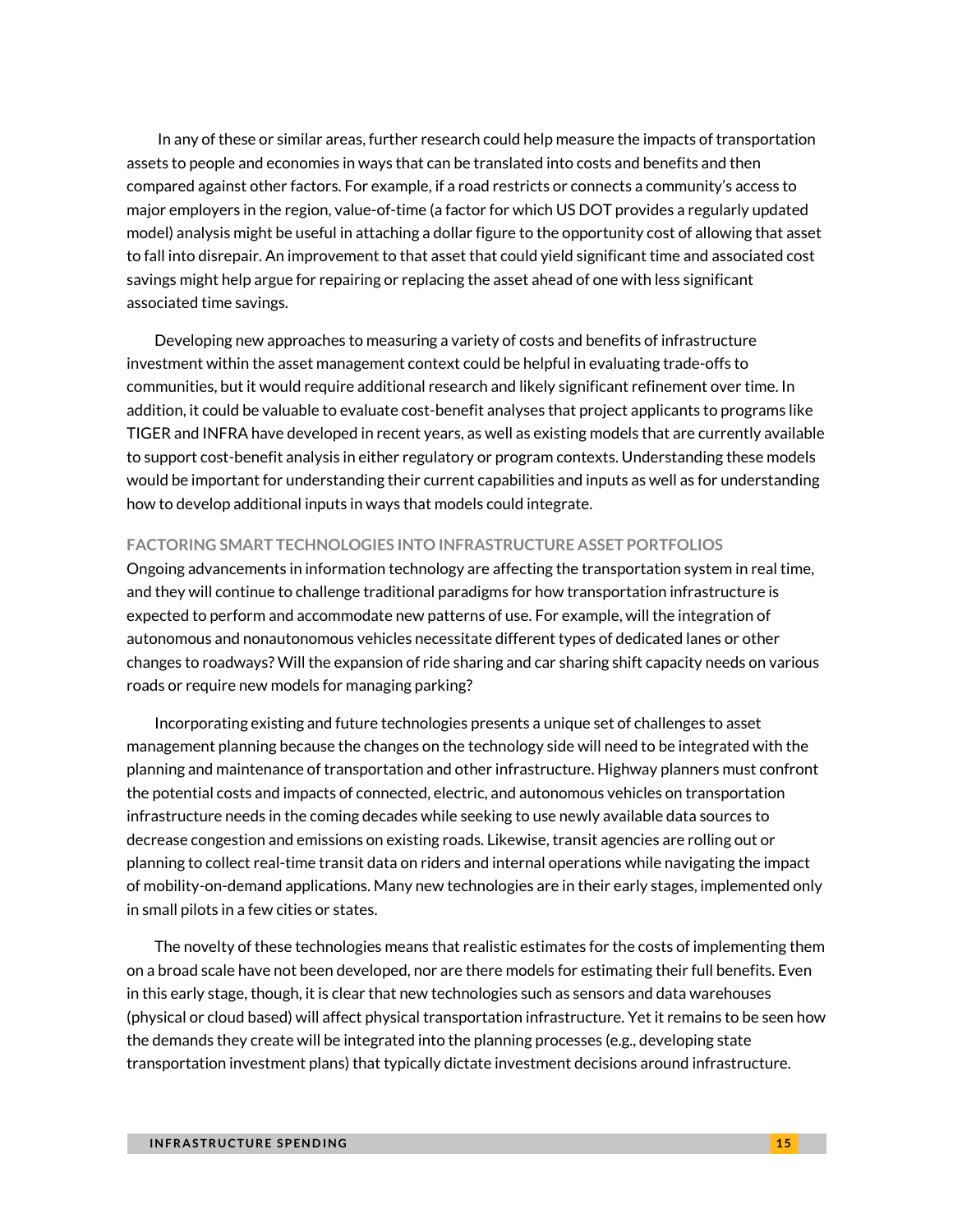In any of these or similar areas, further research could help measure the impacts of transportation assets to people and economies in ways that can be translated into costs and benefits and then compared against other factors. For example, if a road restricts or connects a community's access to major employers in the region, value-of-time (a factor for which US DOT provides a regularly updated model) analysis might be useful in attaching a dollar figure to the opportunity cost of allowing that asset to fall into disrepair. An improvement to that asset that could yield significant time and associated cost savings might help argue for repairing or replacing the asset ahead of one with less significant associated time savings.

Developing new approaches to measuring a variety of costs and benefits of infrastructure investment within the asset management context could be helpful in evaluating trade-offs to communities, but it would require additional research and likely significant refinement over time. In addition, it could be valuable to evaluate cost-benefit analyses that project applicants to programs like TIGER and INFRA have developed in recent years, as well as existing models that are currently available to support cost-benefit analysis in either regulatory or program contexts. Understanding these models would be important for understanding their current capabilities and inputs as well as for understanding how to develop additional inputs in ways that models could integrate.

#### **FACTORING SMART TECHNOLOGIES INTO INFRASTRUCTURE ASSET PORTFOLIOS**

Ongoing advancements in information technology are affecting the transportation system in real time, and they will continue to challenge traditional paradigms for how transportation infrastructure is expected to perform and accommodate new patterns of use. For example, will the integration of autonomous and nonautonomous vehicles necessitate different types of dedicated lanes or other changes to roadways? Will the expansion of ride sharing and car sharing shift capacity needs on various roads or require new models for managing parking?

Incorporating existing and future technologies presents a unique set of challenges to asset management planning because the changes on the technology side will need to be integrated with the planning and maintenance of transportation and other infrastructure. Highway planners must confront the potential costs and impacts of connected, electric, and autonomous vehicles on transportation infrastructure needs in the coming decades while seeking to use newly available data sources to decrease congestion and emissions on existing roads. Likewise, transit agencies are rolling out or planning to collect real-time transit data on riders and internal operations while navigating the impact of mobility-on-demand applications. Many new technologies are in their early stages, implemented only in small pilots in a few cities or states.

The novelty of these technologies means that realistic estimates for the costs of implementing them on a broad scale have not been developed, nor are there models for estimating their full benefits. Even in this early stage, though, it is clear that new technologies such as sensors and data warehouses (physical or cloud based) will affect physical transportation infrastructure. Yet it remains to be seen how the demands they create will be integrated into the planning processes (e.g., developing state transportation investment plans) that typically dictate investment decisions around infrastructure.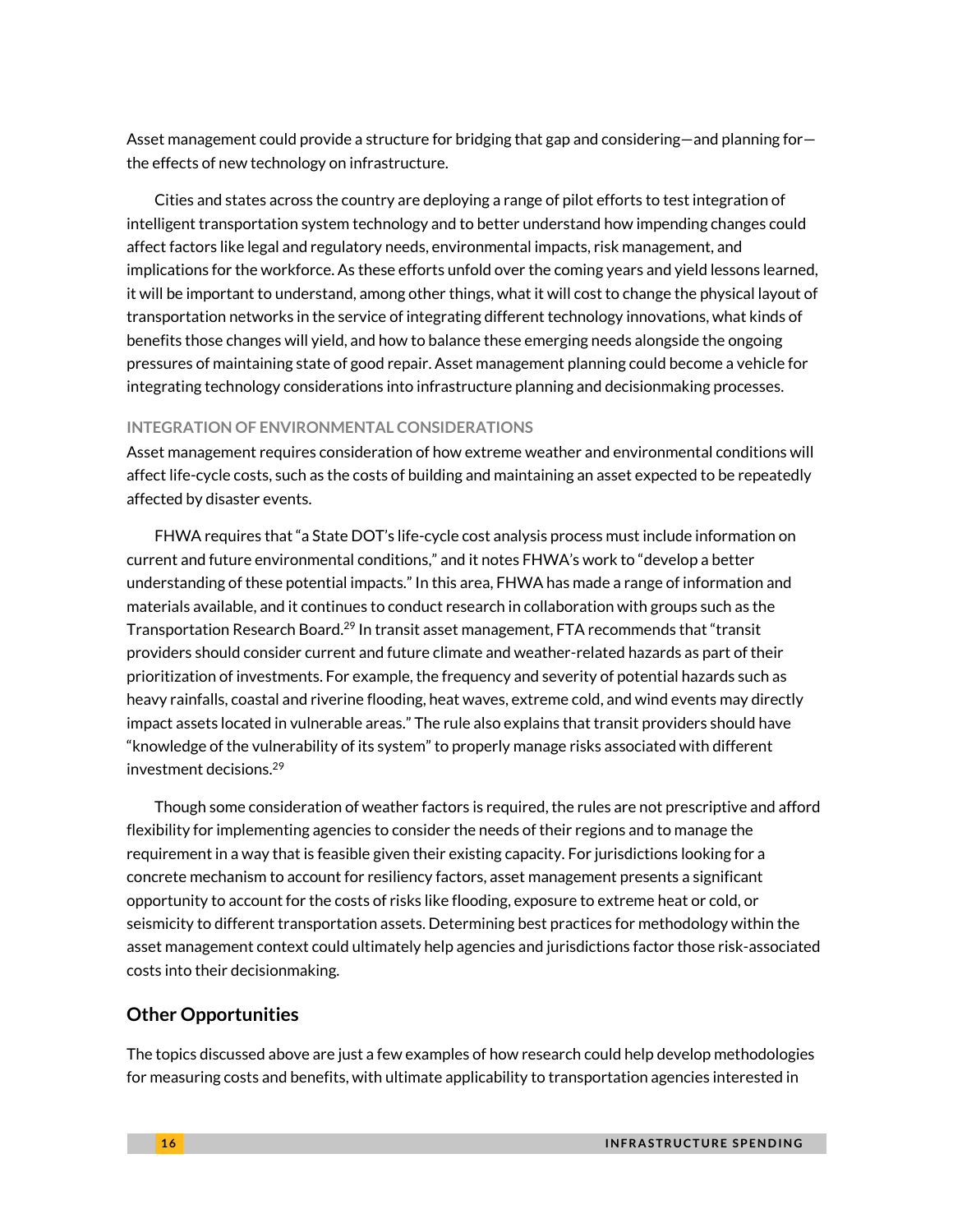Asset management could provide a structure for bridging that gap and considering—and planning for the effects of new technology on infrastructure.

Cities and states across the country are deploying a range of pilot efforts to test integration of intelligent transportation system technology and to better understand how impending changes could affect factors like legal and regulatory needs, environmental impacts, risk management, and implications for the workforce. As these efforts unfold over the coming years and yield lessons learned, it will be important to understand, among other things, what it will cost to change the physical layout of transportation networks in the service of integrating different technology innovations, what kinds of benefits those changes will yield, and how to balance these emerging needs alongside the ongoing pressures of maintaining state of good repair. Asset management planning could become a vehicle for integrating technology considerations into infrastructure planning and decisionmaking processes.

#### **INTEGRATION OF ENVIRONMENTAL CONSIDERATIONS**

Asset management requires consideration of how extreme weather and environmental conditions will affect life-cycle costs, such as the costs of building and maintaining an asset expected to be repeatedly affected by disaster events.

FHWA requires that "a State DOT's life-cycle cost analysis process must include information on current and future environmental conditions," and it notes FHWA's work to "develop a better understanding of these potential impacts." In this area, FHWA has made a range of information and materials available, and it continues to conduct research in collaboration with groups such as the Transportation Research Board.[29](#page-18-8) In transit asset management, FTA recommends that "transit providers should consider current and future climate and weather-related hazards as part of their prioritization of investments. For example, the frequency and severity of potential hazards such as heavy rainfalls, coastal and riverine flooding, heat waves, extreme cold, and wind events may directly impact assets located in vulnerable areas." The rule also explains that transit providers should have "knowledge of the vulnerability of its system" to properly manage risks associated with different investment decisions.[29](#page-18-8)

Though some consideration of weather factors is required, the rules are not prescriptive and afford flexibility for implementing agencies to consider the needs of their regions and to manage the requirement in a way that is feasible given their existing capacity. For jurisdictions looking for a concrete mechanism to account for resiliency factors, asset management presents a significant opportunity to account for the costs of risks like flooding, exposure to extreme heat or cold, or seismicity to different transportation assets. Determining best practices for methodology within the asset management context could ultimately help agencies and jurisdictions factor those risk-associated costs into their decisionmaking.

#### **Other Opportunities**

The topics discussed above are just a few examples of how research could help develop methodologies for measuring costs and benefits, with ultimate applicability to transportation agencies interested in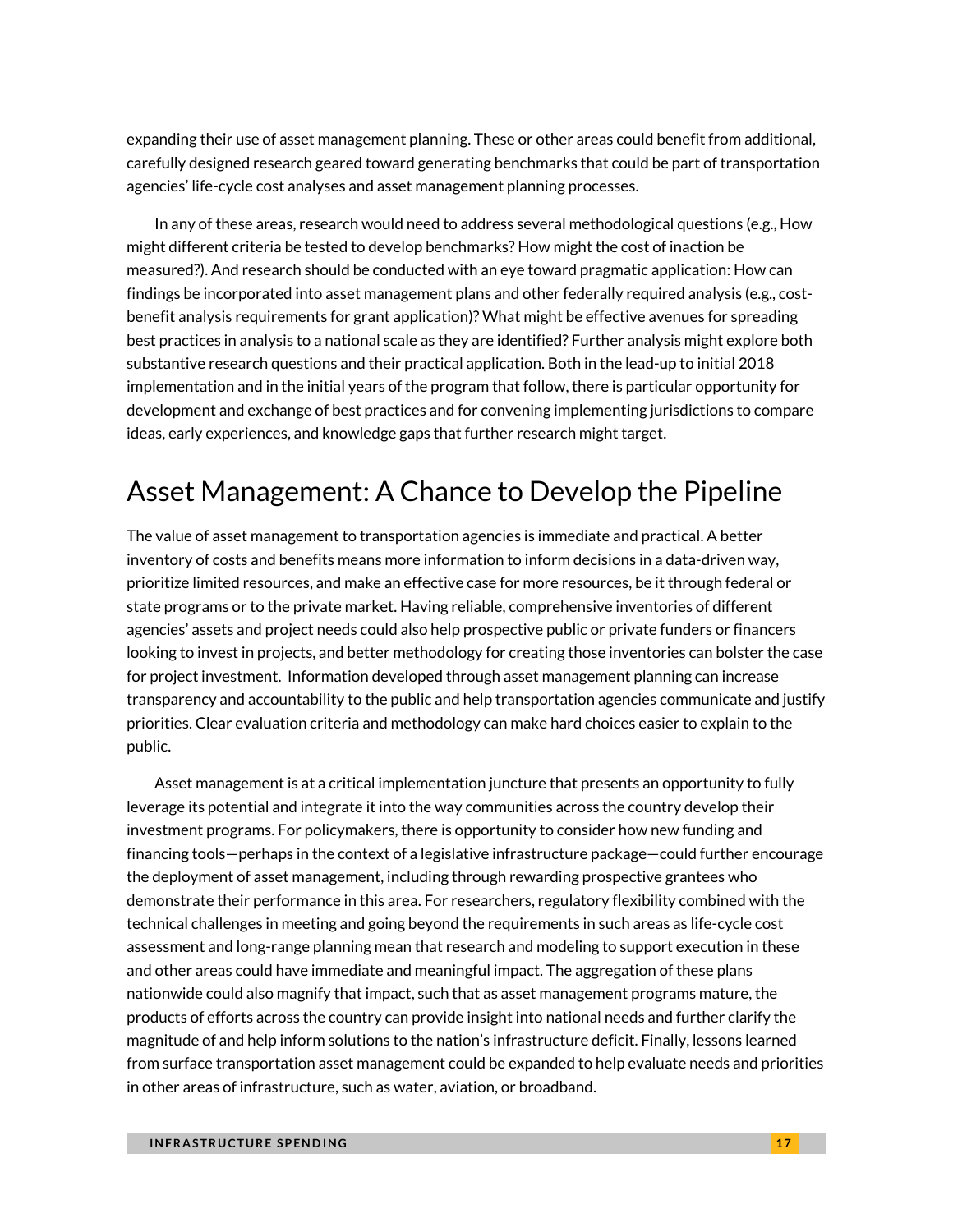expanding their use of asset management planning. These or other areas could benefit from additional, carefully designed research geared toward generating benchmarks that could be part of transportation agencies' life-cycle cost analyses and asset management planning processes.

In any of these areas, research would need to address several methodological questions (e.g., How might different criteria be tested to develop benchmarks? How might the cost of inaction be measured?). And research should be conducted with an eye toward pragmatic application: How can findings be incorporated into asset management plans and other federally required analysis (e.g., costbenefit analysis requirements for grant application)? What might be effective avenues for spreading best practices in analysis to a national scale as they are identified? Further analysis might explore both substantive research questions and their practical application. Both in the lead-up to initial 2018 implementation and in the initial years of the program that follow, there is particular opportunity for development and exchange of best practices and for convening implementing jurisdictions to compare ideas, early experiences, and knowledge gaps that further research might target.

# Asset Management: A Chance to Develop the Pipeline

The value of asset management to transportation agencies is immediate and practical. A better inventory of costs and benefits means more information to inform decisions in a data-driven way, prioritize limited resources, and make an effective case for more resources, be it through federal or state programs or to the private market. Having reliable, comprehensive inventories of different agencies' assets and project needs could also help prospective public or private funders or financers looking to invest in projects, and better methodology for creating those inventories can bolster the case for project investment. Information developed through asset management planning can increase transparency and accountability to the public and help transportation agencies communicate and justify priorities. Clear evaluation criteria and methodology can make hard choices easier to explain to the public.

Asset management is at a critical implementation juncture that presents an opportunity to fully leverage its potential and integrate it into the way communities across the country develop their investment programs. For policymakers, there is opportunity to consider how new funding and financing tools—perhaps in the context of a legislative infrastructure package—could further encourage the deployment of asset management, including through rewarding prospective grantees who demonstrate their performance in this area. For researchers, regulatory flexibility combined with the technical challenges in meeting and going beyond the requirements in such areas as life-cycle cost assessment and long-range planning mean that research and modeling to support execution in these and other areas could have immediate and meaningful impact. The aggregation of these plans nationwide could also magnify that impact, such that as asset management programs mature, the products of efforts across the country can provide insight into national needs and further clarify the magnitude of and help inform solutions to the nation's infrastructure deficit. Finally, lessons learned from surface transportation asset management could be expanded to help evaluate needs and priorities in other areas of infrastructure, such as water, aviation, or broadband.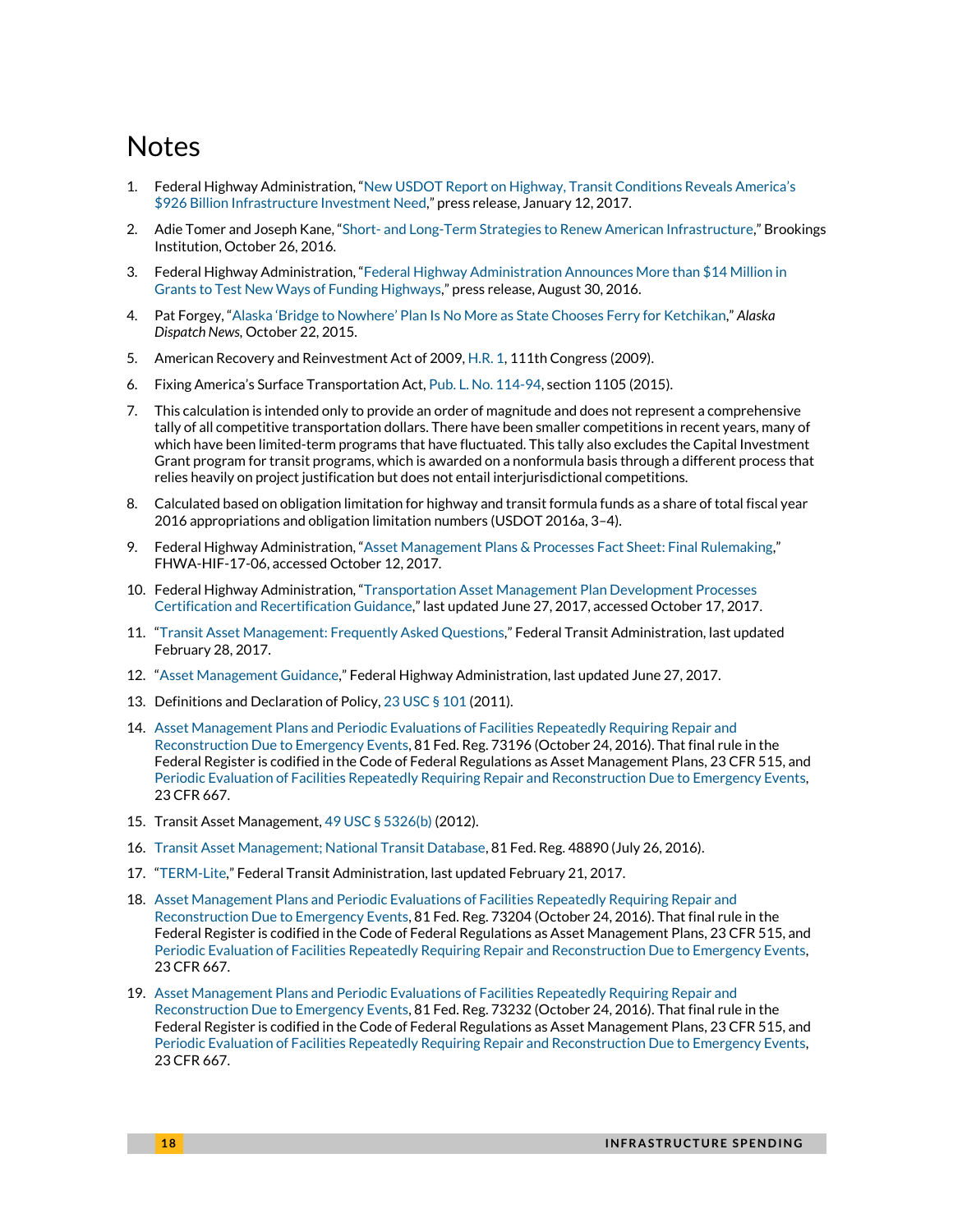## **Notes**

- <span id="page-17-0"></span>1. Federal Highway Administration, "[New USDOT Report on Highway, Transit Conditions Reveals America](https://www.fhwa.dot.gov/pressroom/dot1710.cfm;%20https:/www.fhwa.dot.gov/policy/2015cpr/pdfs.cfm)'s [\\$926 Billion Infrastructure Investment Need,](https://www.fhwa.dot.gov/pressroom/dot1710.cfm;%20https:/www.fhwa.dot.gov/policy/2015cpr/pdfs.cfm)" press release, January 12, 2017.
- <span id="page-17-1"></span>2. Adie Tomer and Joseph Kane, "Short- [and Long-Term Strategies to Renew American Infrastructure,](https://www.brookings.edu/research/short-and-long-term-strategies-to-renew-american-infrastructure/)" Brookings Institution, October 26, 2016.
- <span id="page-17-2"></span>3. Federal Highway Administration, "[Federal Highway Administration Announces More than \\$14 Million in](https://www.fhwa.dot.gov/pressroom/fhwa1648.cfm)  [Grants to Test New Ways of Funding Highways,](https://www.fhwa.dot.gov/pressroom/fhwa1648.cfm)" press release, August 30, 2016.
- <span id="page-17-3"></span>4. Pat Forgey, "Alaska 'Bridge to Nowhere' Plan Is No Mor[e as State Chooses Ferry for Ketchikan,](https://www.adn.com/alaska-news/article/bridge-nowhere-no-more-dot-choses-ferry-ketchikan/2015/10/23/)" *Alaska Dispatch News,* October 22, 2015.
- <span id="page-17-4"></span>5. American Recovery and Reinvestment Act of 2009[, H.R. 1,](https://www.congress.gov/bill/111th-congress/house-bill/1/text?overview=closed) 111th Congress (2009).
- <span id="page-17-5"></span>6. Fixing America's Surface Transportation Act, Pub. L. [No. 114-94,](https://www.gpo.gov/fdsys/pkg/PLAW-114publ94/html/PLAW-114publ94.htm) section 1105 (2015).
- <span id="page-17-6"></span>7. This calculation is intended only to provide an order of magnitude and does not represent a comprehensive tally of all competitive transportation dollars. There have been smaller competitions in recent years, many of which have been limited-term programs that have fluctuated. This tally also excludes the Capital Investment Grant program for transit programs, which is awarded on a nonformula basis through a different process that relies heavily on project justification but does not entail interjurisdictional competitions.
- <span id="page-17-7"></span>8. Calculated based on obligation limitation for highway and transit formula funds as a share of total fiscal year 2016 appropriations and obligation limitation numbers (USDOT 2016a, 3–4).
- <span id="page-17-8"></span>9. Federal Highway Administration, "[Asset Management Plans & Processes Fact Sheet: Final Rulemaking](https://www.fhwa.dot.gov/asset/pubs/hif17006.pdf)," FHWA-HIF-17-06, accessed October 12, 2017.
- <span id="page-17-9"></span>10. Federal Highway Administration, "[Transportation Asset Management Plan Development Processes](https://www.fhwa.dot.gov/asset/guidance/certification.cfm)  [Certification and Recertification Guidance](https://www.fhwa.dot.gov/asset/guidance/certification.cfm)," last updated June 27, 2017, accessed October 17, 2017.
- <span id="page-17-10"></span>11. "[Transit Asset Management: Frequently Asked Questions,](https://www.transit.dot.gov/TAM/gettingstarted/htmlFAQs)" Federal Transit Administration, last updated February 28, 2017.
- <span id="page-17-11"></span>12. "[Asset Management Guidance,](https://www.fhwa.dot.gov/asset/guidance.cfm)" Federal Highway Administration, last updated June 27, 2017.
- <span id="page-17-12"></span>13. Definitions and Declaration of Policy[, 23 USC § 101](https://www.gpo.gov/fdsys/granule/USCODE-2011-title23/USCODE-2011-title23-chap1-sec101) (2011).
- <span id="page-17-13"></span>14. [Asset Management Plans and Periodic Evaluations of Facilities Repeatedly Requiring Repair and](https://www.gpo.gov/fdsys/pkg/FR-2016-10-24/pdf/2016-25117.pdf)  [Reconstruction Due to Emergency Events,](https://www.gpo.gov/fdsys/pkg/FR-2016-10-24/pdf/2016-25117.pdf) 81 Fed. Reg. 73196 (October 24, 2016). That final rule in the Federal Register is codified in the Code of Federal Regulations as Asset Management Plans, 23 CFR 515, and [Periodic Evaluation of Facilities Repeatedly Requiring Repair and Reconstruction Due to Emergency Events,](https://www.law.cornell.edu/cfr/text/23/part-667)  23 CFR 667.
- <span id="page-17-14"></span>15. Transit Asset Management[, 49 USC](https://www.gpo.gov/fdsys/granule/USCODE-2012-title49/USCODE-2012-title49-subtitleIII-chap53-sec5326) § 5326(b) (2012).
- <span id="page-17-15"></span>16. [Transit Asset Management; National Transit Database,](https://www.gpo.gov/fdsys/pkg/FR-2016-07-26/pdf/2016-16883.pdf) 81 Fed. Reg. 48890 (July 26, 2016).
- <span id="page-17-16"></span>17. "[TERM-Lite,](https://www.transit.dot.gov/TAM/TERMLite)" Federal Transit Administration, last updated February 21, 2017.
- <span id="page-17-17"></span>18. [Asset Management Plans and Periodic Evaluations of Facilities Repeatedly Requiring Repair and](https://www.gpo.gov/fdsys/pkg/FR-2016-10-24/pdf/2016-25117.pdf)  [Reconstruction Due to Emergency Events,](https://www.gpo.gov/fdsys/pkg/FR-2016-10-24/pdf/2016-25117.pdf) 81 Fed. Reg. 73204 (October 24, 2016). That final rule in the Federal Register is codified in the Code of Federal Regulations as Asset Management Plans, 23 CFR 515, and [Periodic Evaluation of Facilities Repeatedly Requiring Repair and Reconstruction Due to Emergency Events,](https://www.law.cornell.edu/cfr/text/23/part-667)  23 CFR 667.
- <span id="page-17-18"></span>19. [Asset Management Plans and Periodic Evaluations of Facilities Repeatedly Requiring Repair and](https://www.gpo.gov/fdsys/pkg/FR-2016-10-24/pdf/2016-25117.pdf)  [Reconstruction Due to Emergency Events,](https://www.gpo.gov/fdsys/pkg/FR-2016-10-24/pdf/2016-25117.pdf) 81 Fed. Reg. 73232 (October 24, 2016). That final rule in the Federal Register is codified in the Code of Federal Regulations as Asset Management Plans, 23 CFR 515, and [Periodic Evaluation of Facilities Repeatedly Requiring Repair and Reconstruction Due to Emergency Events,](https://www.law.cornell.edu/cfr/text/23/part-667)  23 CFR 667.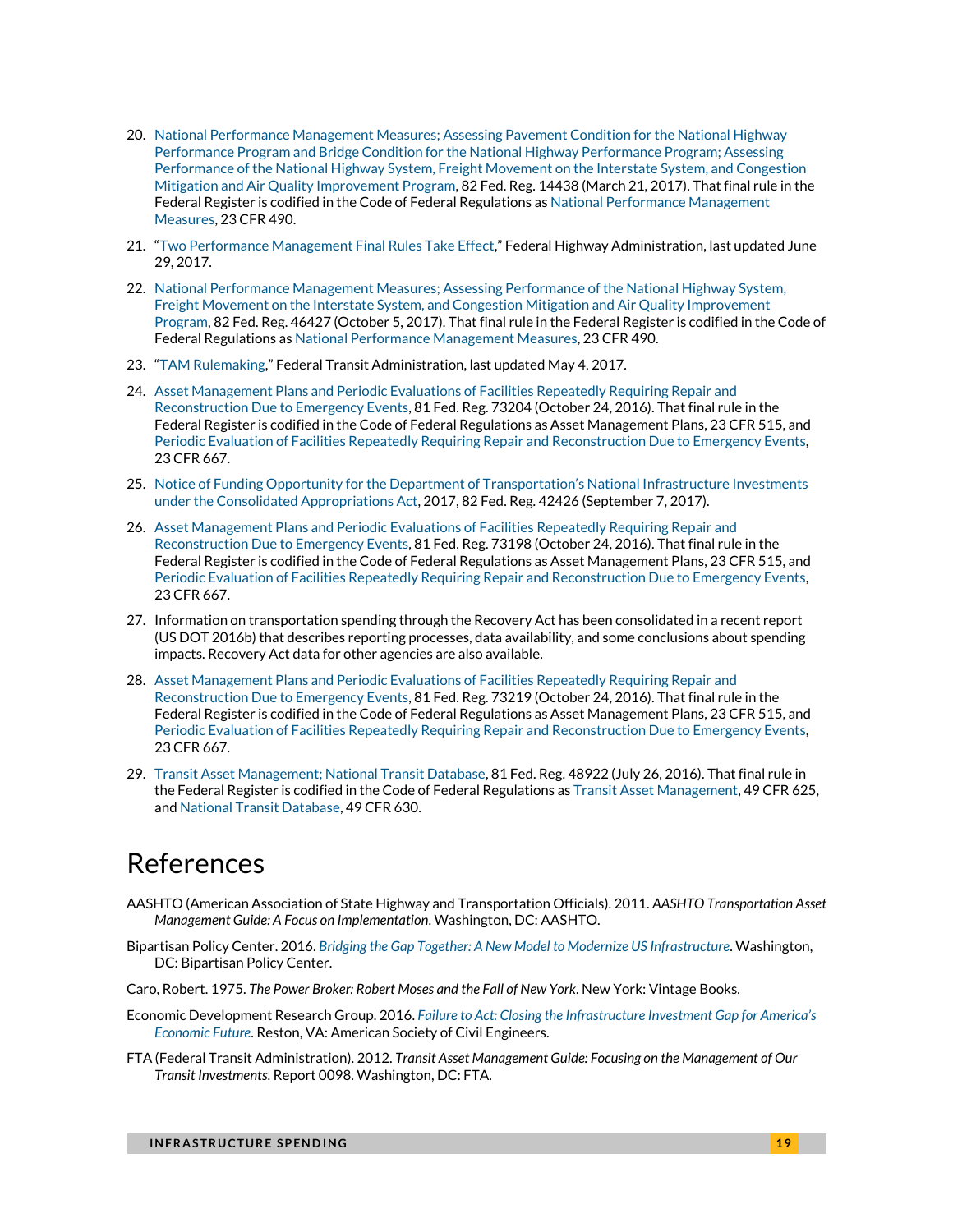- <span id="page-18-0"></span>20. [National Performance Management Measures; Assessing Pavement Condition for the National Highway](https://www.gpo.gov/fdsys/pkg/FR-2017-03-21/pdf/2017-05518.pdf)  [Performance Program and Bridge Condition for the National Highway Performance Program; Assessing](https://www.gpo.gov/fdsys/pkg/FR-2017-03-21/pdf/2017-05518.pdf)  [Performance of the National Highway System, Freight Movement on the Interstate System, and Congestion](https://www.gpo.gov/fdsys/pkg/FR-2017-03-21/pdf/2017-05518.pdf)  [Mitigation and Air Quality Improvement Program,](https://www.gpo.gov/fdsys/pkg/FR-2017-03-21/pdf/2017-05518.pdf) 82 Fed. Reg. 14438 (March 21, 2017). That final rule in the Federal Register is codified in the Code of Federal Regulations a[s National Performance Management](https://www.law.cornell.edu/cfr/text/23/part-490)  [Measures,](https://www.law.cornell.edu/cfr/text/23/part-490) 23 CFR 490.
- <span id="page-18-1"></span>21. "[Two Performance Management Final Rules Take Effect,](https://www.fhwa.dot.gov/tpm/rule.cfm)" Federal Highway Administration, last updated June 29, 2017.
- <span id="page-18-2"></span>22. [National Performance Management Measures; Assessing Performance of the National Highway System,](https://www.federalregister.gov/documents/2017/10/05/2017-21442/national-performance-management-measures-assessing-performance-of-the-national-highway-system)  [Freight Movement on the Interstate System, and Congestion Mitigation and Air Quality Improvement](https://www.federalregister.gov/documents/2017/10/05/2017-21442/national-performance-management-measures-assessing-performance-of-the-national-highway-system)  [Program,](https://www.federalregister.gov/documents/2017/10/05/2017-21442/national-performance-management-measures-assessing-performance-of-the-national-highway-system) 82 Fed. Reg. 46427 (October 5, 2017). That final rule in the Federal Register is codified in the Code of Federal Regulations a[s National Performance Management Measures,](https://www.law.cornell.edu/cfr/text/23/part-490) 23 CFR 490.
- <span id="page-18-3"></span>23. "[TAM Rulemaking,](https://www.transit.dot.gov/TAM/rulemaking)" Federal Transit Administration, last updated May 4, 2017.
- <span id="page-18-4"></span>24. [Asset Management Plans and Periodic Evaluations of Facilities Repeatedly Requiring Repair and](https://www.gpo.gov/fdsys/pkg/FR-2016-10-24/pdf/2016-25117.pdf)  [Reconstruction Due to Emergency Events,](https://www.gpo.gov/fdsys/pkg/FR-2016-10-24/pdf/2016-25117.pdf) 81 Fed. Reg. 73204 (October 24, 2016). That final rule in the Federal Register is codified in the Code of Federal Regulations as Asset Management Plans, 23 CFR 515, and [Periodic Evaluation of Facilities Repeatedly Requiring Repair and](https://www.law.cornell.edu/cfr/text/23/part-667) Reconstruction Due to Emergency Events, 23 CFR 667.
- <span id="page-18-5"></span>25. [Notice of Funding Opportunity for the Department of Transportation's National I](https://www.transportation.gov/sites/dot.gov/files/docs/policy-initiatives/tiger/114796/fy17-tiger-fedreg.pdf)nfrastructure Investments [under the Consolidated Appropriations Act,](https://www.transportation.gov/sites/dot.gov/files/docs/policy-initiatives/tiger/114796/fy17-tiger-fedreg.pdf) 2017, 82 Fed. Reg. 42426 (September 7, 2017).
- 26. [Asset Management Plans and Periodic Evaluations of Facilities](https://www.gpo.gov/fdsys/pkg/FR-2016-10-24/pdf/2016-25117.pdf) Repeatedly Requiring Repair and [Reconstruction Due to Emergency Events,](https://www.gpo.gov/fdsys/pkg/FR-2016-10-24/pdf/2016-25117.pdf) 81 Fed. Reg. 73198 (October 24, 2016). That final rule in the Federal Register is codified in the Code of Federal Regulations as Asset Management Plans, 23 CFR 515, and [Periodic Evaluation of Facilities Repeatedly Requiring Repair and Reconstruction Due to Emergency Events,](https://www.law.cornell.edu/cfr/text/23/part-667)  23 CFR 667.
- <span id="page-18-6"></span>27. Information on transportation spending through the Recovery Act has been consolidated in a recent report (US DOT 2016b) that describes reporting processes, data availability, and some conclusions about spending impacts. Recovery Act data for other agencies are also available.
- <span id="page-18-7"></span>28. [Asset Management Plans and Periodic Evaluations of Facilities Repeatedly Requiring Repair and](https://www.gpo.gov/fdsys/pkg/FR-2016-10-24/pdf/2016-25117.pdf)  [Reconstruction Due to Emergency Events,](https://www.gpo.gov/fdsys/pkg/FR-2016-10-24/pdf/2016-25117.pdf) 81 Fed. Reg. 73219 (October 24, 2016). That final rule in the Federal Register is codified in the Code of Federal Regulations as Asset Management Plans, 23 CFR 515, and [Periodic Evaluation of Facilities Repeatedly Requiring Repair and](https://www.law.cornell.edu/cfr/text/23/part-667) Reconstruction Due to Emergency Events, 23 CFR 667.
- <span id="page-18-8"></span>29. [Transit Asset Management; National Transit Database,](https://www.gpo.gov/fdsys/pkg/FR-2016-07-26/pdf/2016-16883.pdf) 81 Fed. Reg. 48922 (July 26, 2016). That final rule in the Federal Register is codified in the Code of Federal Regulations a[s Transit Asset Management,](https://www.law.cornell.edu/cfr/text/49/part-625) 49 CFR 625, an[d National Transit Database,](https://www.law.cornell.edu/cfr/text/49/part-630) 49 CFR 630.

## References

- AASHTO (American Association of State Highway and Transportation Officials). 2011. *AASHTO Transportation Asset Management Guide: A Focus on Implementation*. Washington, DC: AASHTO.
- Bipartisan Policy Center. 2016. *[Bridging the Gap Together: A New Model to Modernize US Infrastructure](https://cdn.bipartisanpolicy.org/wp-content/uploads/2016/05/BPC-New-Infrastructure-Model.pdf)*. Washington, DC: Bipartisan Policy Center.
- Caro, Robert. 1975. *The Power Broker: Robert Moses and the Fall of New York*. New York: Vintage Books.
- Economic Development Research Group. 2016. *[Failure to Act: Closing the Infrastructure Investment Gap for America](http://www.infrastructurereportcard.org/wp-content/uploads/2016/10/ASCE-Failure-to-Act-2016-FINAL.pdf)'s [Economic Future](http://www.infrastructurereportcard.org/wp-content/uploads/2016/10/ASCE-Failure-to-Act-2016-FINAL.pdf)*. Reston, VA: American Society of Civil Engineers.
- FTA (Federal Transit Administration). 2012. *Transit Asset Management Guide: Focusing on the Management of Our Transit Investments*. Report 0098. Washington, DC: FTA.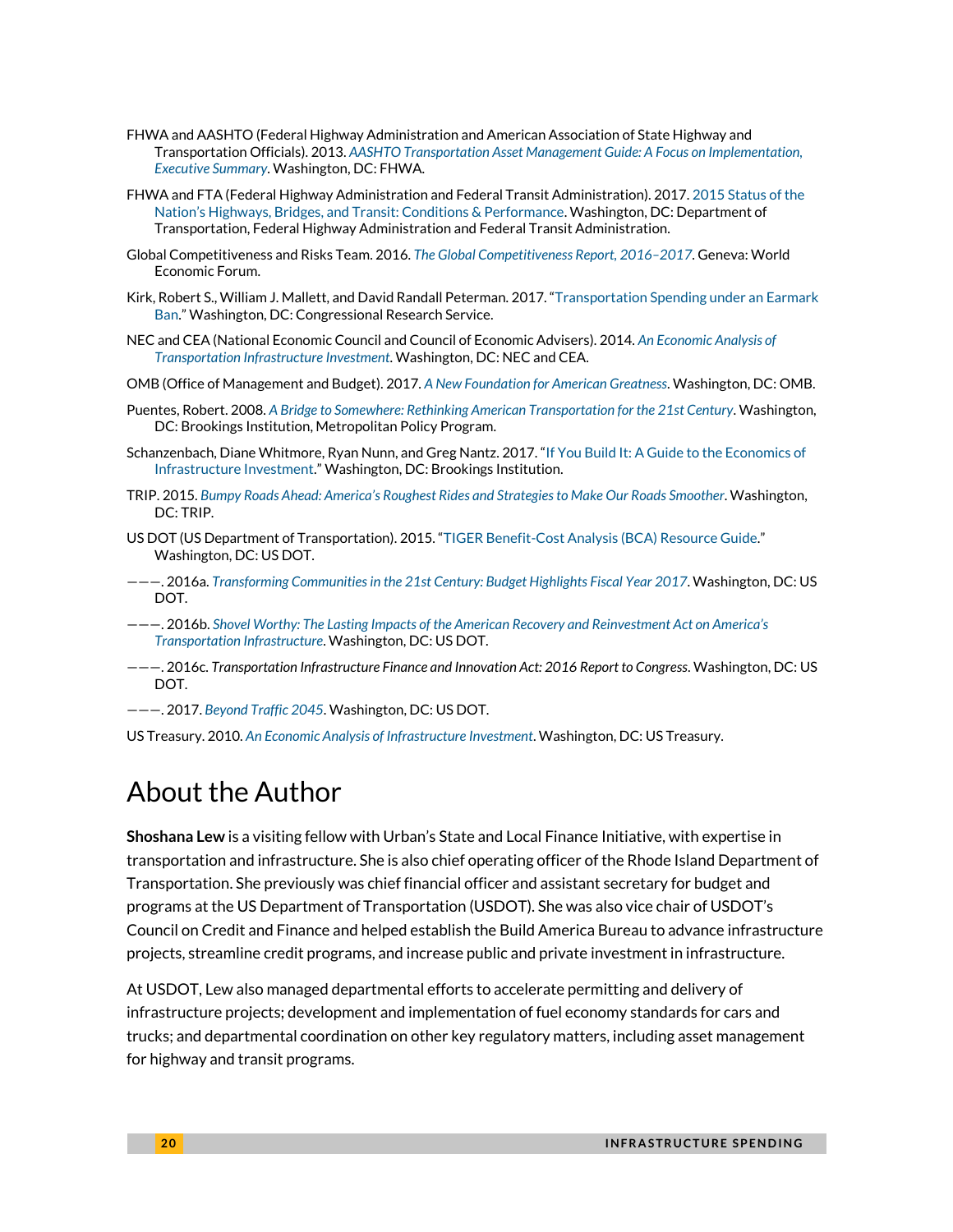- FHWA and AASHTO (Federal Highway Administration and American Association of State Highway and Transportation Officials). 2013. *[AASHTO Transportation Asset Management Guide: A Focus on Implementation,](https://www.fhwa.dot.gov/asset/pubs/hif13047.pdf)  [Executive Summary](https://www.fhwa.dot.gov/asset/pubs/hif13047.pdf)*. Washington, DC: FHWA.
- FHWA and FTA (Federal Highway Administration and Federal Transit Administration). 2017[. 2015 Status of the](https://www.fhwa.dot.gov/policy/2015cpr/littlebook.cfm)  Nation's Highways, Bridges, [and Transit: Conditions & Performance.](https://www.fhwa.dot.gov/policy/2015cpr/littlebook.cfm) Washington, DC: Department of Transportation, Federal Highway Administration and Federal Transit Administration.
- Global Competitiveness and Risks Team. 2016. *[The Global Competitiveness Report, 2016](http://www3.weforum.org/docs/GCR2016-2017/05FullReport/TheGlobalCompetitivenessReport2016-2017_FINAL.pdf)–2017*. Geneva: World Economic Forum.
- Kirk, Robert S., William J. Mallett, and David Randall Peterman. 2017. "[Transportation Spending under an Earmark](https://fas.org/sgp/crs/misc/R41554.pdf)  [Ban.](https://fas.org/sgp/crs/misc/R41554.pdf)" Washington, DC: Congressional Research Service.
- NEC and CEA (National Economic Council and Council of Economic Advisers). 2014. *[An Economic Analysis of](https://obamawhitehouse.archives.gov/sites/default/files/docs/economic_analysis_of_transportation_investments.pdf)  [Transportation Infrastructure Investment](https://obamawhitehouse.archives.gov/sites/default/files/docs/economic_analysis_of_transportation_investments.pdf)*. Washington, DC: NEC and CEA.
- OMB (Office of Management and Budget). 2017. *[A New Foundation for American Greatness](https://www.whitehouse.gov/sites/whitehouse.gov/files/omb/budget/fy2018/budget.pdf)*. Washington, DC: OMB.
- Puentes, Robert. 2008. *[A Bridge to Somewhere: Rethinking American Transportation for the 21st Century](https://www.brookings.edu/wp-content/uploads/2016/06/06_transportation_puentes_report.pdf)*. Washington, DC: Brookings Institution, Metropolitan Policy Program.
- Schanzenbach, Diane Whitmore, Ryan Nunn, and Greg Nantz. 2017. "[If You Build It: A Guide to the Economics of](https://www.brookings.edu/research/if-you-build-it-a-guide-to-the-economics-of-infrastructure-investment/)  [Infrastructure Investment.](https://www.brookings.edu/research/if-you-build-it-a-guide-to-the-economics-of-infrastructure-investment/)" Washington, DC: Brookings Institution.
- TRIP. 2015. *Bumpy Roads Ahead: America'[s Roughest Rides and Strategies to Make Our Roads Smoother](http://www.tripnet.org/docs/Urban_Roads_TRIP_Report_July_2015.pdf)*. Washington, DC: TRIP.
- US DOT (US Department of Transportation). 2015. "[TIGER Benefit-Cost Analysis \(BCA\) Resource Guide.](https://www.transportation.gov/sites/dot.gov/files/docs/Tiger_Benefit-Cost_Analysis_%28BCA%29_Resource_Guide_1.pdf)" Washington, DC: US DOT.
- ———. 2016a. *[Transforming Communities in the 21st Century:](https://www.transportation.gov/sites/dot.gov/files/docs/DOT_BH2017_508%5B2%5D.pdf) Budget Highlights Fiscal Year 2017*. Washington, DC: US DOT.
- ———. 2016b. *[Shovel Worthy:](https://www.transportation.gov/sites/dot.gov/files/docs/American%20Recovery%20and%20Reinvestment%20Act%20Final%20Report.pdf) [The Lasting Impacts of the American Recov](https://www.transportation.gov/sites/dot.gov/files/docs/American%20Recovery%20and%20Reinvestment%20Act%20Final%20Report.pdf)ery and Reinvestment Act on America's [Transportation Infrastructure](https://www.transportation.gov/sites/dot.gov/files/docs/American%20Recovery%20and%20Reinvestment%20Act%20Final%20Report.pdf)*. Washington, DC: US DOT.
- ———. 2016c. *Transportation Infrastructure Finance and Innovation Act: 2016 Report to Congress*. Washington, DC: US DOT.
- ———. 2017. *[Beyond Traffic 2045](https://www.transportation.gov/sites/dot.gov/files/docs/BeyondTraffic_tagged_508_final.pdf)*. Washington, DC: US DOT.
- US Treasury. 2010. *[An Economic Analysis of Infrastructure Investment](https://www.treasury.gov/resource-center/economic-policy/Documents/infrastructure_investment_report.pdf)*. Washington, DC: US Treasury.

### About the Author

**Shoshana Lew** is a visiting fellow with Urban's State and Local Finance Initiative, with expertise in transportation and infrastructure. She is also chief operating officer of the Rhode Island Department of Transportation. She previously was chief financial officer and assistant secretary for budget and programs at the US Department of Transportation (USDOT). She was also vice chair of USDOT's Council on Credit and Finance and helped establish the Build America Bureau to advance infrastructure projects, streamline credit programs, and increase public and private investment in infrastructure.

At USDOT, Lew also managed departmental efforts to accelerate permitting and delivery of infrastructure projects; development and implementation of fuel economy standards for cars and trucks; and departmental coordination on other key regulatory matters, including asset management for highway and transit programs.